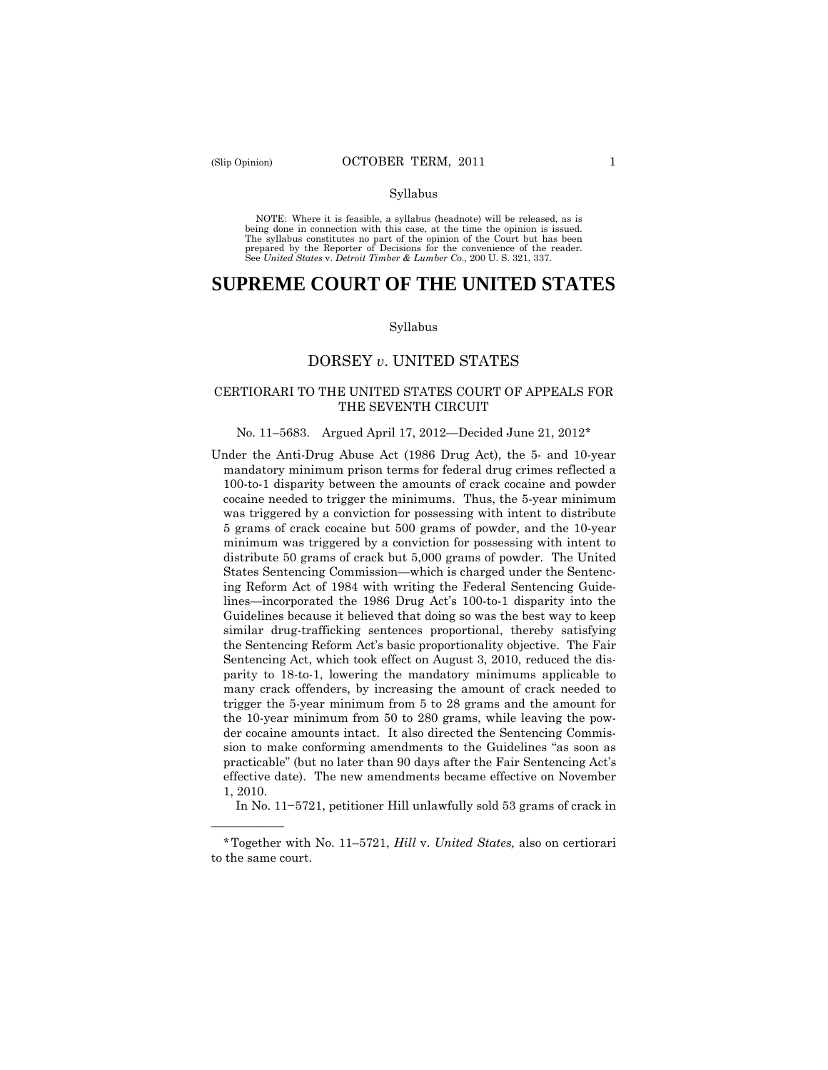——————

#### Syllabus

 NOTE: Where it is feasible, a syllabus (headnote) will be released, as is being done in connection with this case, at the time the opinion is issued. The syllabus constitutes no part of the opinion of the Court but has been<br>prepared by the Reporter of Decisions for the convenience of the reader.<br>See United States v. Detroit Timber & Lumber Co., 200 U. S. 321, 337.

# **SUPREME COURT OF THE UNITED STATES**

#### Syllabus

## DORSEY *v*. UNITED STATES

## CERTIORARI TO THE UNITED STATES COURT OF APPEALS FOR THE SEVENTH CIRCUIT

#### No. 11–5683. Argued April 17, 2012—Decided June 21, 2012\*

 mandatory minimum prison terms for federal drug crimes reflected a Under the Anti-Drug Abuse Act (1986 Drug Act), the 5- and 10-year 100-to-1 disparity between the amounts of crack cocaine and powder cocaine needed to trigger the minimums. Thus, the 5-year minimum was triggered by a conviction for possessing with intent to distribute 5 grams of crack cocaine but 500 grams of powder, and the 10-year minimum was triggered by a conviction for possessing with intent to distribute 50 grams of crack but 5,000 grams of powder. The United States Sentencing Commission—which is charged under the Sentencing Reform Act of 1984 with writing the Federal Sentencing Guidelines—incorporated the 1986 Drug Act's 100-to-1 disparity into the Guidelines because it believed that doing so was the best way to keep similar drug-trafficking sentences proportional, thereby satisfying the Sentencing Reform Act's basic proportionality objective. The Fair Sentencing Act, which took effect on August 3, 2010, reduced the disparity to 18-to-1, lowering the mandatory minimums applicable to many crack offenders, by increasing the amount of crack needed to trigger the 5-year minimum from 5 to 28 grams and the amount for the 10-year minimum from 50 to 280 grams, while leaving the powder cocaine amounts intact. It also directed the Sentencing Commission to make conforming amendments to the Guidelines "as soon as practicable" (but no later than 90 days after the Fair Sentencing Act's effective date). The new amendments became effective on November 1, 2010.

In No. 11−5721, petitioner Hill unlawfully sold 53 grams of crack in

<sup>\*</sup>Together with No. 11–5721, *Hill* v. *United States,* also on certiorari to the same court.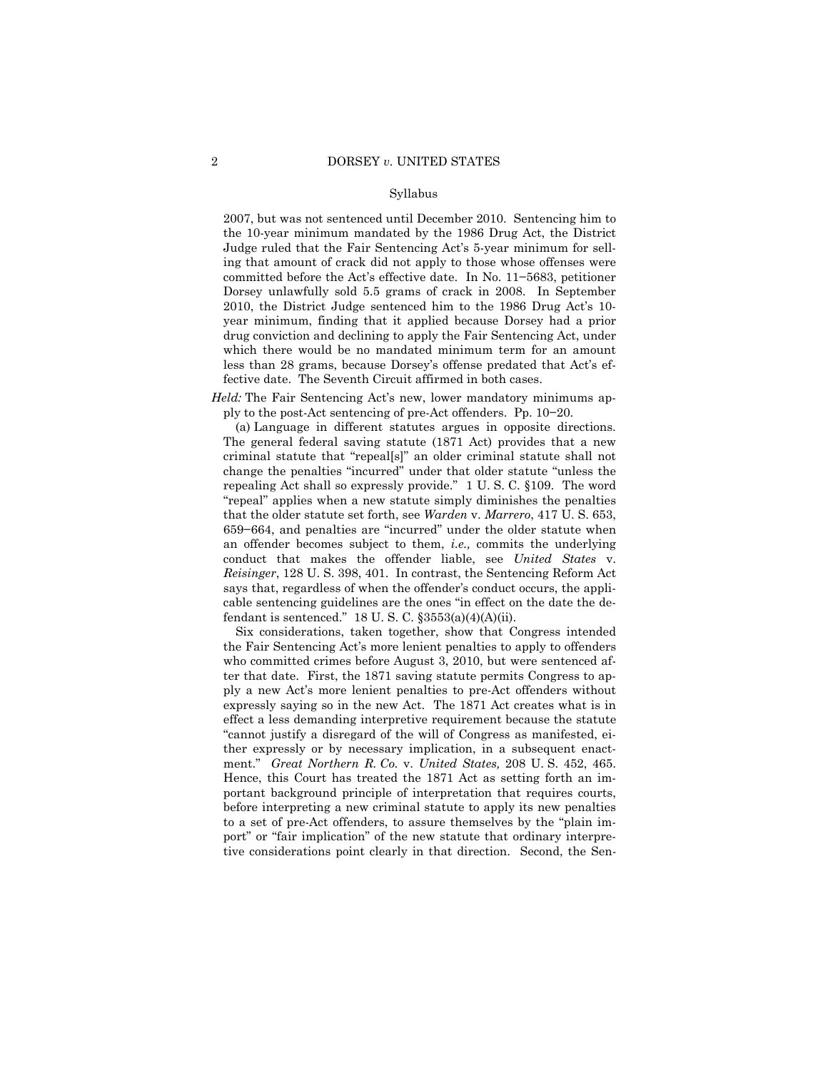#### Syllabus

2007, but was not sentenced until December 2010. Sentencing him to the 10-year minimum mandated by the 1986 Drug Act, the District Judge ruled that the Fair Sentencing Act's 5-year minimum for selling that amount of crack did not apply to those whose offenses were committed before the Act's effective date. In No. 11−5683, petitioner Dorsey unlawfully sold 5.5 grams of crack in 2008. In September 2010, the District Judge sentenced him to the 1986 Drug Act's 10 year minimum, finding that it applied because Dorsey had a prior drug conviction and declining to apply the Fair Sentencing Act, under which there would be no mandated minimum term for an amount less than 28 grams, because Dorsey's offense predated that Act's effective date. The Seventh Circuit affirmed in both cases.

*Held:* The Fair Sentencing Act's new, lower mandatory minimums apply to the post-Act sentencing of pre-Act offenders. Pp. 10−20.

(a) Language in different statutes argues in opposite directions. The general federal saving statute (1871 Act) provides that a new criminal statute that "repeal[s]" an older criminal statute shall not change the penalties "incurred" under that older statute "unless the repealing Act shall so expressly provide." 1 U. S. C. §109. The word "repeal" applies when a new statute simply diminishes the penalties that the older statute set forth, see *Warden* v. *Marrero*, 417 U. S. 653, 659−664, and penalties are "incurred" under the older statute when an offender becomes subject to them, *i.e.,* commits the underlying conduct that makes the offender liable, see *United States* v. *Reisinger*, 128 U. S. 398, 401. In contrast, the Sentencing Reform Act says that, regardless of when the offender's conduct occurs, the applicable sentencing guidelines are the ones "in effect on the date the defendant is sentenced."  $18$  U. S. C.  $\S 3553(a)(4)(A)(ii)$ .

Six considerations, taken together, show that Congress intended the Fair Sentencing Act's more lenient penalties to apply to offenders who committed crimes before August 3, 2010, but were sentenced after that date. First, the 1871 saving statute permits Congress to apply a new Act's more lenient penalties to pre-Act offenders without expressly saying so in the new Act. The 1871 Act creates what is in effect a less demanding interpretive requirement because the statute "cannot justify a disregard of the will of Congress as manifested, either expressly or by necessary implication, in a subsequent enactment." *Great Northern R. Co.* v. *United States,* 208 U. S. 452, 465. Hence, this Court has treated the 1871 Act as setting forth an important background principle of interpretation that requires courts, before interpreting a new criminal statute to apply its new penalties to a set of pre-Act offenders, to assure themselves by the "plain import" or "fair implication" of the new statute that ordinary interpretive considerations point clearly in that direction. Second, the Sen-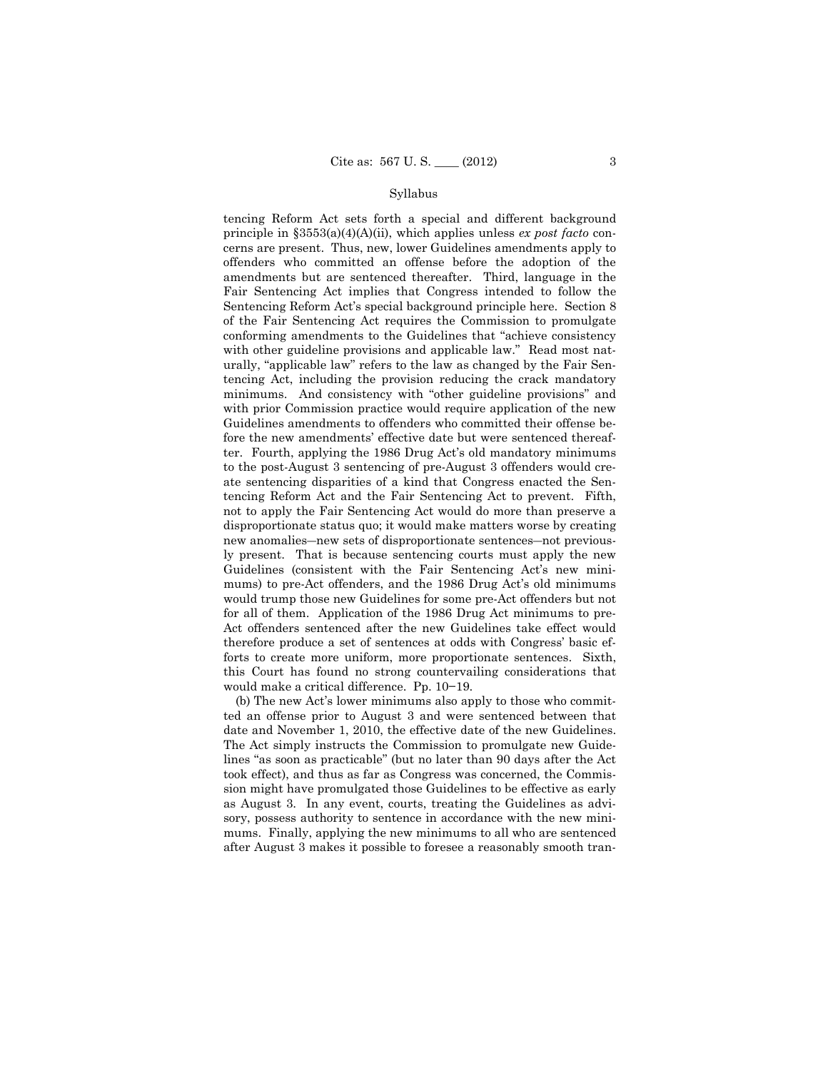#### Syllabus

tencing Reform Act sets forth a special and different background principle in §3553(a)(4)(A)(ii), which applies unless *ex post facto* concerns are present. Thus, new, lower Guidelines amendments apply to offenders who committed an offense before the adoption of the amendments but are sentenced thereafter. Third, language in the Fair Sentencing Act implies that Congress intended to follow the Sentencing Reform Act's special background principle here. Section 8 of the Fair Sentencing Act requires the Commission to promulgate conforming amendments to the Guidelines that "achieve consistency with other guideline provisions and applicable law." Read most naturally, "applicable law" refers to the law as changed by the Fair Sentencing Act, including the provision reducing the crack mandatory minimums. And consistency with "other guideline provisions" and with prior Commission practice would require application of the new Guidelines amendments to offenders who committed their offense before the new amendments' effective date but were sentenced thereafter. Fourth, applying the 1986 Drug Act's old mandatory minimums to the post-August 3 sentencing of pre-August 3 offenders would create sentencing disparities of a kind that Congress enacted the Sentencing Reform Act and the Fair Sentencing Act to prevent. Fifth, not to apply the Fair Sentencing Act would do more than preserve a disproportionate status quo; it would make matters worse by creating new anomalies―new sets of disproportionate sentences―not previously present. That is because sentencing courts must apply the new Guidelines (consistent with the Fair Sentencing Act's new minimums) to pre-Act offenders, and the 1986 Drug Act's old minimums would trump those new Guidelines for some pre-Act offenders but not for all of them. Application of the 1986 Drug Act minimums to pre-Act offenders sentenced after the new Guidelines take effect would therefore produce a set of sentences at odds with Congress' basic efforts to create more uniform, more proportionate sentences. Sixth, this Court has found no strong countervailing considerations that would make a critical difference. Pp. 10−19.

(b) The new Act's lower minimums also apply to those who committed an offense prior to August 3 and were sentenced between that date and November 1, 2010, the effective date of the new Guidelines. The Act simply instructs the Commission to promulgate new Guidelines "as soon as practicable" (but no later than 90 days after the Act took effect), and thus as far as Congress was concerned, the Commission might have promulgated those Guidelines to be effective as early as August 3. In any event, courts, treating the Guidelines as advisory, possess authority to sentence in accordance with the new minimums. Finally, applying the new minimums to all who are sentenced after August 3 makes it possible to foresee a reasonably smooth tran-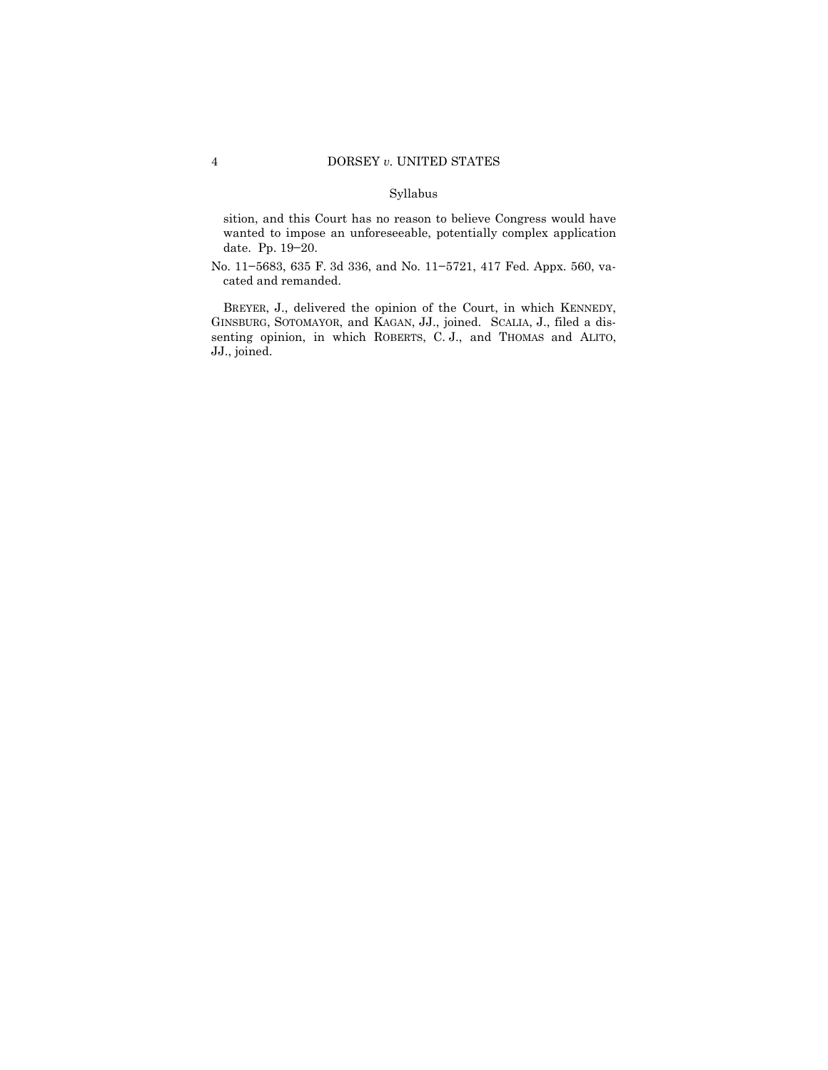#### Syllabus

sition, and this Court has no reason to believe Congress would have wanted to impose an unforeseeable, potentially complex application date. Pp. 19−20.

No. 11−5683, 635 F. 3d 336, and No. 11−5721, 417 Fed. Appx. 560, vacated and remanded.

BREYER, J., delivered the opinion of the Court, in which KENNEDY, GINSBURG, SOTOMAYOR, and KAGAN, JJ., joined. SCALIA, J., filed a dissenting opinion, in which ROBERTS, C. J., and THOMAS and ALITO, JJ., joined.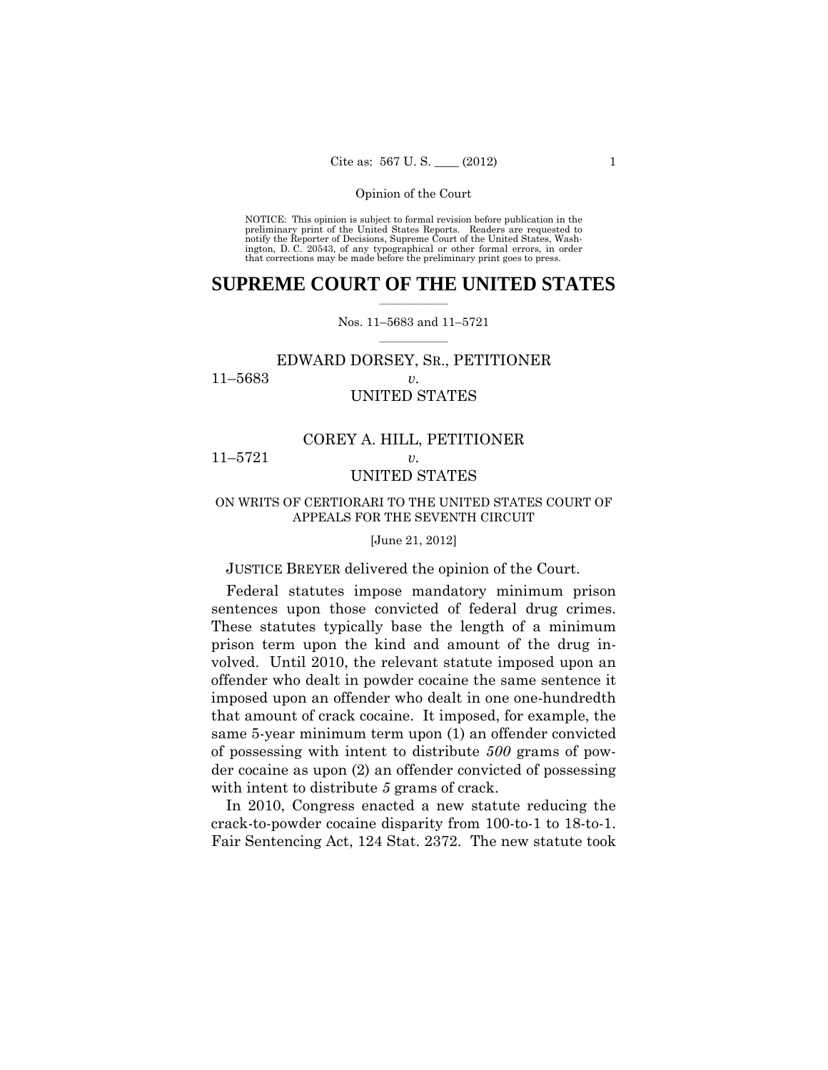preliminary print of the United States Reports. Readers are requested to notify the Reporter of Decisions, Supreme Court of the United States, Wash- ington, D. C. 20543, of any typographical or other formal errors, in order that corrections may be made before the preliminary print goes to press. NOTICE: This opinion is subject to formal revision before publication in the

## $\frac{1}{2}$  , where  $\frac{1}{2}$ **SUPREME COURT OF THE UNITED STATES**

#### $\frac{1}{2}$  ,  $\frac{1}{2}$  ,  $\frac{1}{2}$  ,  $\frac{1}{2}$  ,  $\frac{1}{2}$  ,  $\frac{1}{2}$ Nos. 11–5683 and 11–5721

## EDWARD DORSEY, SR., PETITIONER 11–5683 *v.*  UNITED STATES

## COREY A. HILL, PETITIONER 11–5721 *v.*

## UNITED STATES

#### ON WRITS OF CERTIORARI TO THE UNITED STATES COURT OF APPEALS FOR THE SEVENTH CIRCUIT

#### [June 21, 2012]

#### JUSTICE BREYER delivered the opinion of the Court.

 sentences upon those convicted of federal drug crimes. Federal statutes impose mandatory minimum prison These statutes typically base the length of a minimum prison term upon the kind and amount of the drug involved. Until 2010, the relevant statute imposed upon an offender who dealt in powder cocaine the same sentence it imposed upon an offender who dealt in one one-hundredth that amount of crack cocaine. It imposed, for example, the same 5-year minimum term upon (1) an offender convicted of possessing with intent to distribute *500* grams of powder cocaine as upon (2) an offender convicted of possessing with intent to distribute *5* grams of crack.

In 2010, Congress enacted a new statute reducing the crack-to-powder cocaine disparity from 100-to-1 to 18-to-1. Fair Sentencing Act, 124 Stat. 2372. The new statute took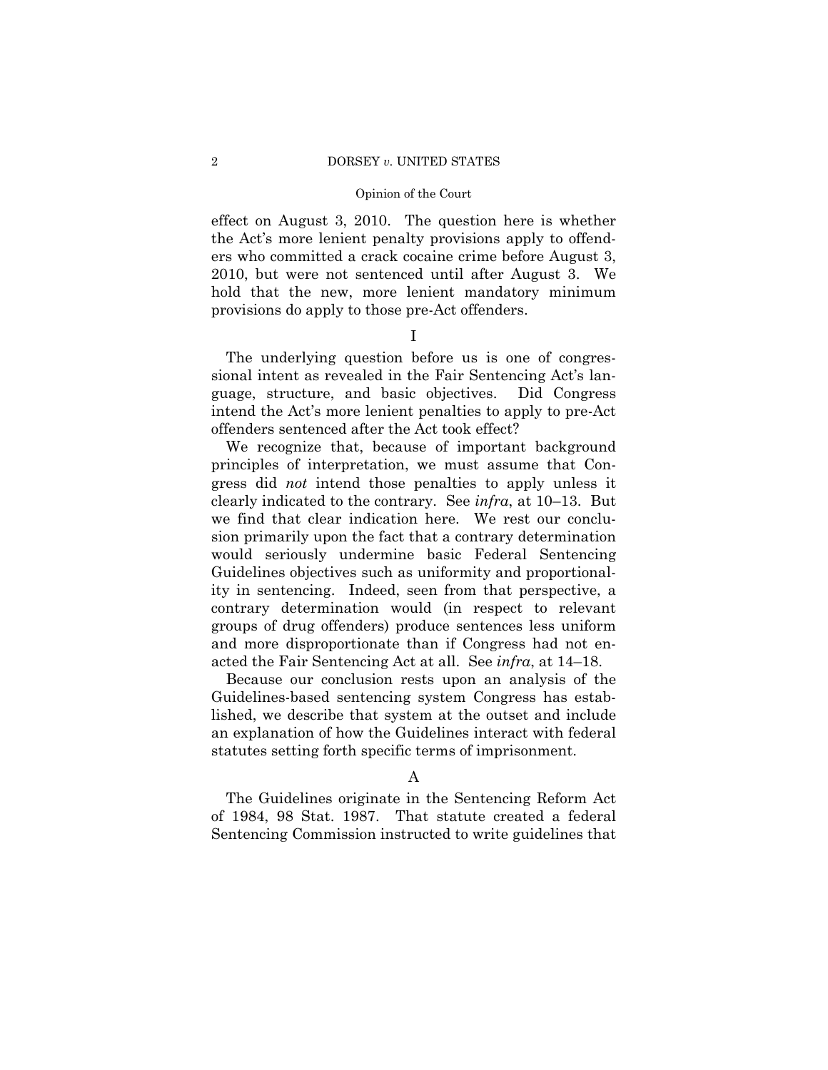#### 2 DORSEY *v*. UNITED STATES

#### Opinion of the Court

effect on August 3, 2010. The question here is whether the Act's more lenient penalty provisions apply to offenders who committed a crack cocaine crime before August 3, 2010, but were not sentenced until after August 3. We hold that the new, more lenient mandatory minimum provisions do apply to those pre-Act offenders.

I

The underlying question before us is one of congressional intent as revealed in the Fair Sentencing Act's language, structure, and basic objectives. Did Congress intend the Act's more lenient penalties to apply to pre-Act offenders sentenced after the Act took effect?

We recognize that, because of important background principles of interpretation, we must assume that Congress did *not* intend those penalties to apply unless it clearly indicated to the contrary. See *infra*, at 10–13. But we find that clear indication here. We rest our conclusion primarily upon the fact that a contrary determination would seriously undermine basic Federal Sentencing Guidelines objectives such as uniformity and proportionality in sentencing. Indeed, seen from that perspective, a contrary determination would (in respect to relevant groups of drug offenders) produce sentences less uniform and more disproportionate than if Congress had not enacted the Fair Sentencing Act at all. See *infra*, at 14–18.

Because our conclusion rests upon an analysis of the Guidelines-based sentencing system Congress has established, we describe that system at the outset and include an explanation of how the Guidelines interact with federal statutes setting forth specific terms of imprisonment.

The Guidelines originate in the Sentencing Reform Act of 1984, 98 Stat. 1987. That statute created a federal Sentencing Commission instructed to write guidelines that

A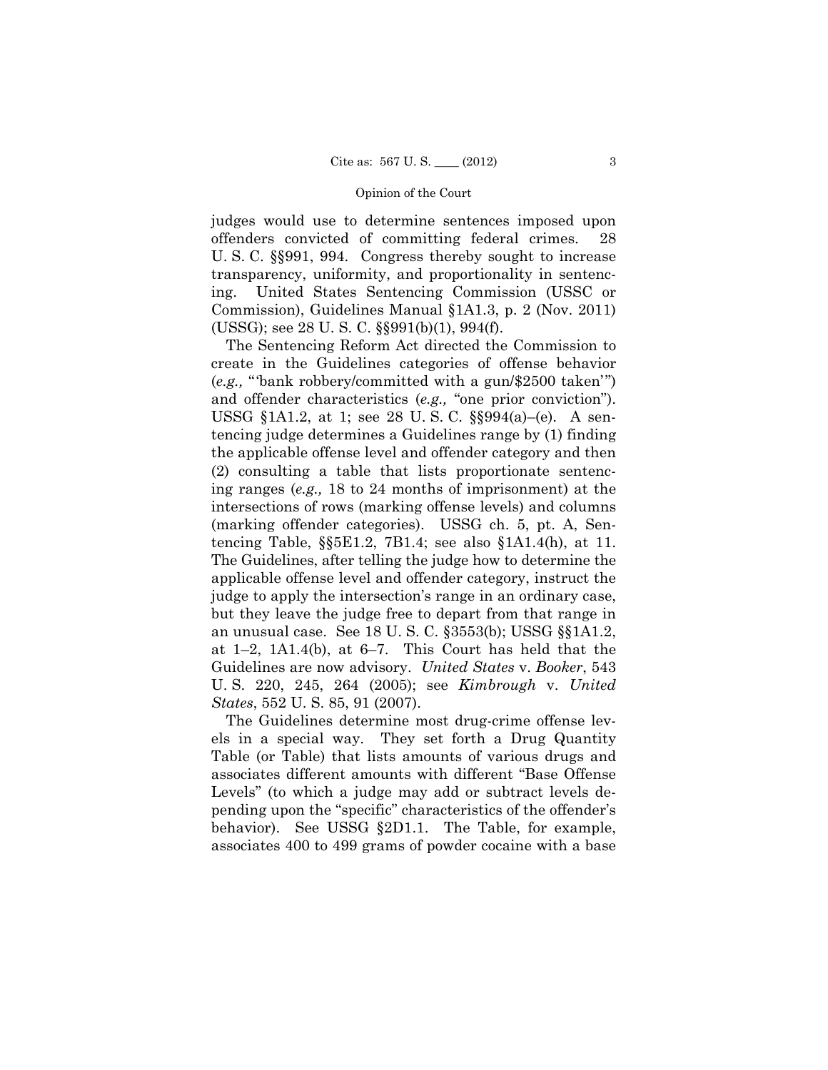judges would use to determine sentences imposed upon offenders convicted of committing federal crimes. 28 U. S. C. §§991, 994. Congress thereby sought to increase transparency, uniformity, and proportionality in sentencing. United States Sentencing Commission (USSC or Commission), Guidelines Manual §1A1.3, p. 2 (Nov. 2011) (USSG); see 28 U. S. C. §§991(b)(1), 994(f).

The Sentencing Reform Act directed the Commission to create in the Guidelines categories of offense behavior (*e.g.,* "'bank robbery/committed with a gun/\$2500 taken'") and offender characteristics (*e.g.,* "one prior conviction"). USSG §1A1.2, at 1; see 28 U. S. C. §§994(a)–(e). A sentencing judge determines a Guidelines range by (1) finding the applicable offense level and offender category and then (2) consulting a table that lists proportionate sentencing ranges (*e.g.,* 18 to 24 months of imprisonment) at the intersections of rows (marking offense levels) and columns (marking offender categories). USSG ch. 5, pt. A, Sentencing Table, §§5E1.2, 7B1.4; see also §1A1.4(h), at 11. The Guidelines, after telling the judge how to determine the applicable offense level and offender category, instruct the judge to apply the intersection's range in an ordinary case, but they leave the judge free to depart from that range in an unusual case. See 18 U. S. C. §3553(b); USSG §§1A1.2, at 1–2, 1A1.4(b), at 6–7. This Court has held that the Guidelines are now advisory. *United States* v. *Booker*, 543 U. S. 220, 245, 264 (2005); see *Kimbrough* v. *United States*, 552 U. S. 85, 91 (2007).

The Guidelines determine most drug-crime offense levels in a special way. They set forth a Drug Quantity Table (or Table) that lists amounts of various drugs and associates different amounts with different "Base Offense Levels" (to which a judge may add or subtract levels depending upon the "specific" characteristics of the offender's behavior). See USSG §2D1.1. The Table, for example, associates 400 to 499 grams of powder cocaine with a base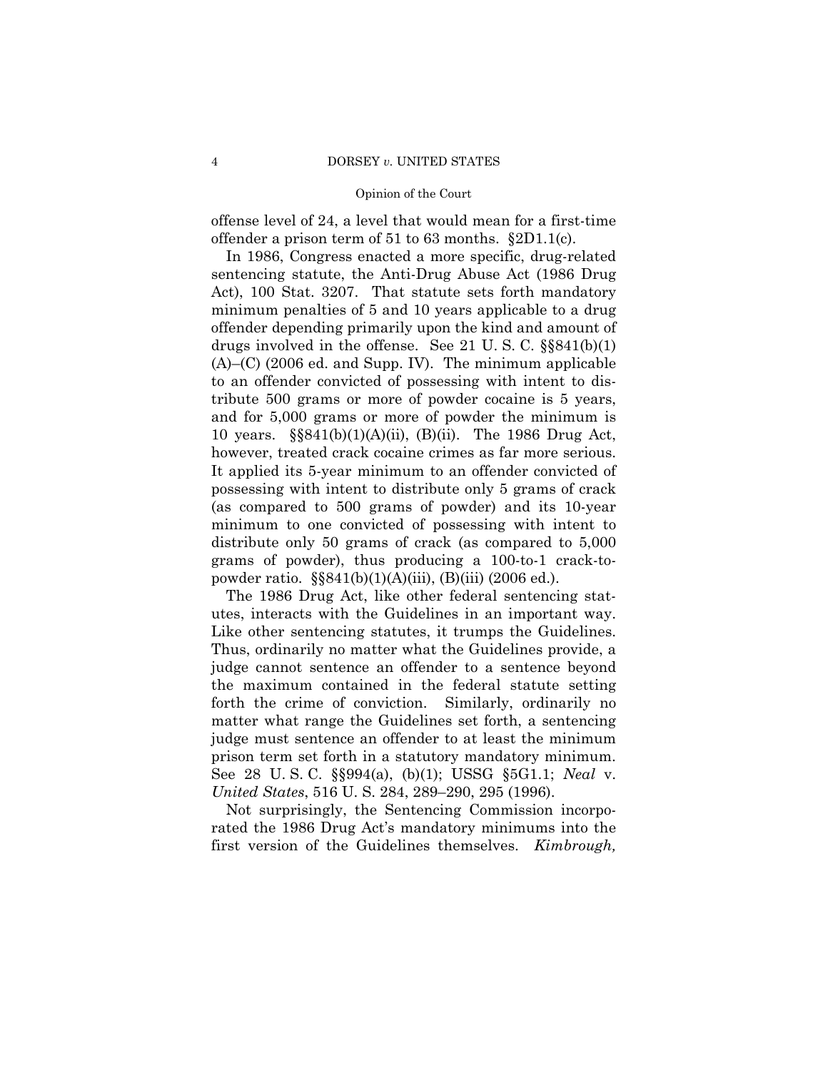offense level of 24, a level that would mean for a first-time offender a prison term of 51 to 63 months. §2D1.1(c).

 10 years. §§841(b)(1)(A)(ii), (B)(ii). The 1986 Drug Act, In 1986, Congress enacted a more specific, drug-related sentencing statute, the Anti-Drug Abuse Act (1986 Drug Act), 100 Stat. 3207. That statute sets forth mandatory minimum penalties of 5 and 10 years applicable to a drug offender depending primarily upon the kind and amount of drugs involved in the offense. See 21 U. S. C. §§841(b)(1) (A)–(C) (2006 ed. and Supp. IV). The minimum applicable to an offender convicted of possessing with intent to distribute 500 grams or more of powder cocaine is 5 years, and for 5,000 grams or more of powder the minimum is however, treated crack cocaine crimes as far more serious. It applied its 5-year minimum to an offender convicted of possessing with intent to distribute only 5 grams of crack (as compared to 500 grams of powder) and its 10-year minimum to one convicted of possessing with intent to distribute only 50 grams of crack (as compared to 5,000 grams of powder), thus producing a 100-to-1 crack-topowder ratio. §§841(b)(1)(A)(iii), (B)(iii) (2006 ed.).

 utes, interacts with the Guidelines in an important way. The 1986 Drug Act, like other federal sentencing stat-Like other sentencing statutes, it trumps the Guidelines. Thus, ordinarily no matter what the Guidelines provide, a judge cannot sentence an offender to a sentence beyond the maximum contained in the federal statute setting forth the crime of conviction. Similarly, ordinarily no matter what range the Guidelines set forth, a sentencing judge must sentence an offender to at least the minimum prison term set forth in a statutory mandatory minimum. See 28 U. S. C. §§994(a), (b)(1); USSG §5G1.1; *Neal* v. *United States*, 516 U. S. 284, 289–290, 295 (1996).

Not surprisingly, the Sentencing Commission incorporated the 1986 Drug Act's mandatory minimums into the first version of the Guidelines themselves. *Kimbrough,*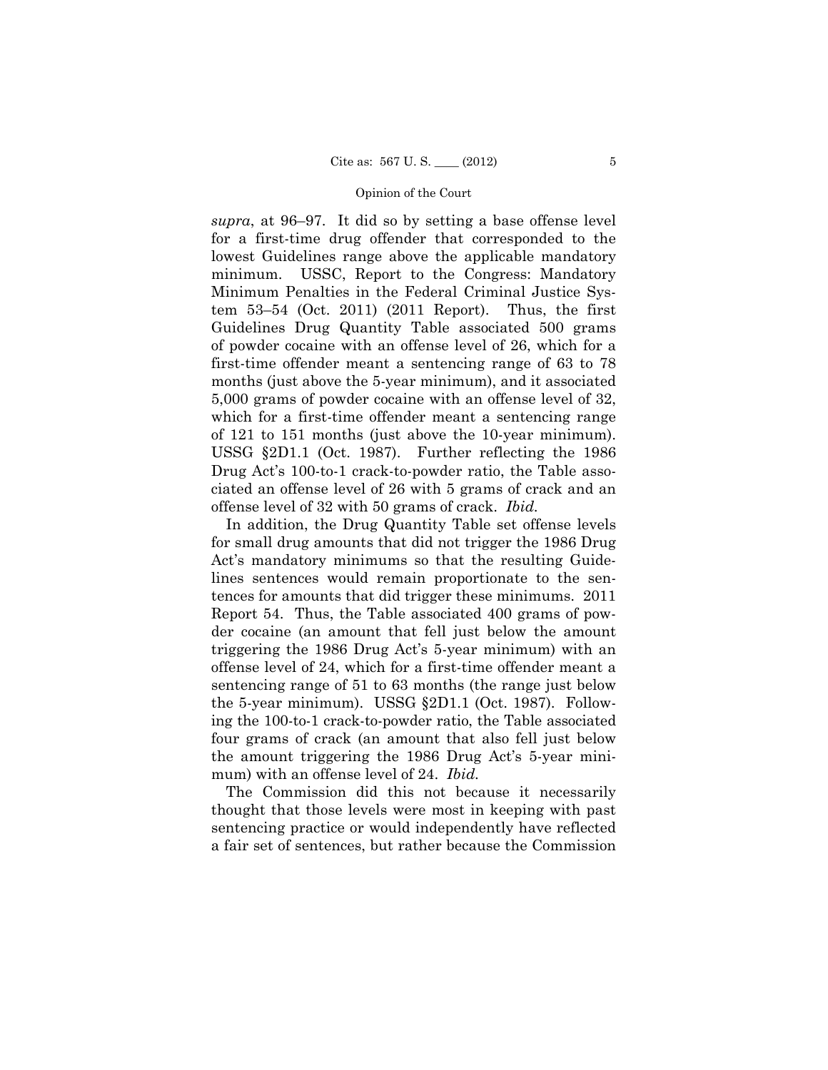*supra*, at 96–97. It did so by setting a base offense level for a first-time drug offender that corresponded to the lowest Guidelines range above the applicable mandatory minimum. USSC, Report to the Congress: Mandatory Minimum Penalties in the Federal Criminal Justice System 53–54 (Oct. 2011) (2011 Report). Thus, the first Guidelines Drug Quantity Table associated 500 grams of powder cocaine with an offense level of 26, which for a first-time offender meant a sentencing range of 63 to 78 months (just above the 5-year minimum), and it associated 5,000 grams of powder cocaine with an offense level of 32, which for a first-time offender meant a sentencing range of 121 to 151 months (just above the 10-year minimum). USSG §2D1.1 (Oct. 1987). Further reflecting the 1986 Drug Act's 100-to-1 crack-to-powder ratio, the Table associated an offense level of 26 with 5 grams of crack and an offense level of 32 with 50 grams of crack. *Ibid.* 

In addition, the Drug Quantity Table set offense levels for small drug amounts that did not trigger the 1986 Drug Act's mandatory minimums so that the resulting Guidelines sentences would remain proportionate to the sentences for amounts that did trigger these minimums. 2011 Report 54. Thus, the Table associated 400 grams of powder cocaine (an amount that fell just below the amount triggering the 1986 Drug Act's 5-year minimum) with an offense level of 24, which for a first-time offender meant a sentencing range of 51 to 63 months (the range just below the 5-year minimum). USSG §2D1.1 (Oct. 1987). Following the 100-to-1 crack-to-powder ratio, the Table associated four grams of crack (an amount that also fell just below the amount triggering the 1986 Drug Act's 5-year minimum) with an offense level of 24. *Ibid.* 

The Commission did this not because it necessarily thought that those levels were most in keeping with past sentencing practice or would independently have reflected a fair set of sentences, but rather because the Commission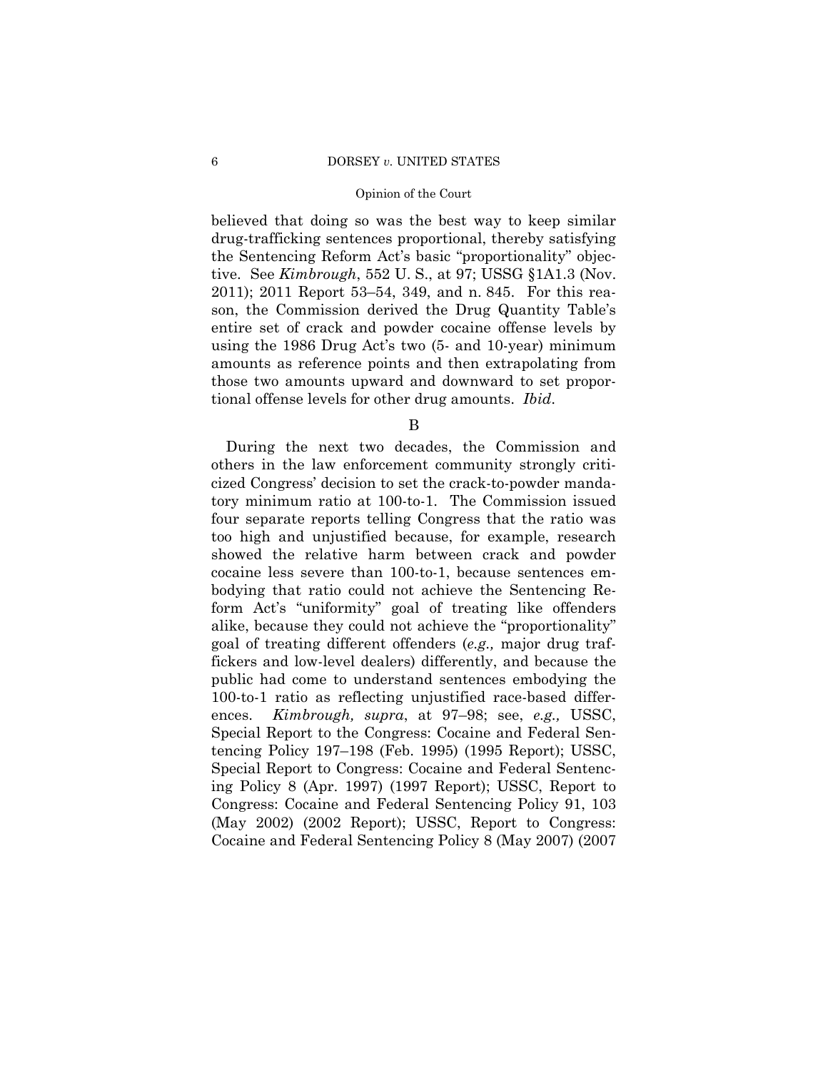#### 6 DORSEY *v.* UNITED STATES

#### Opinion of the Court

believed that doing so was the best way to keep similar drug-trafficking sentences proportional, thereby satisfying the Sentencing Reform Act's basic "proportionality" objective. See *Kimbrough*, 552 U. S., at 97; USSG §1A1.3 (Nov. 2011); 2011 Report 53–54, 349, and n. 845. For this reason, the Commission derived the Drug Quantity Table's entire set of crack and powder cocaine offense levels by using the 1986 Drug Act's two (5- and 10-year) minimum amounts as reference points and then extrapolating from those two amounts upward and downward to set proportional offense levels for other drug amounts. *Ibid*.

B

During the next two decades, the Commission and others in the law enforcement community strongly criticized Congress' decision to set the crack-to-powder mandatory minimum ratio at 100-to-1. The Commission issued four separate reports telling Congress that the ratio was too high and unjustified because, for example, research showed the relative harm between crack and powder cocaine less severe than 100-to-1, because sentences embodying that ratio could not achieve the Sentencing Reform Act's "uniformity" goal of treating like offenders alike, because they could not achieve the "proportionality" goal of treating different offenders (*e.g.,* major drug traffickers and low-level dealers) differently, and because the public had come to understand sentences embodying the 100-to-1 ratio as reflecting unjustified race-based differences. *Kimbrough, supra*, at 97–98; see, *e.g.,* USSC, Special Report to the Congress: Cocaine and Federal Sentencing Policy 197–198 (Feb. 1995) (1995 Report); USSC, Special Report to Congress: Cocaine and Federal Sentencing Policy 8 (Apr. 1997) (1997 Report); USSC, Report to Congress: Cocaine and Federal Sentencing Policy 91, 103 (May 2002) (2002 Report); USSC, Report to Congress: Cocaine and Federal Sentencing Policy 8 (May 2007) (2007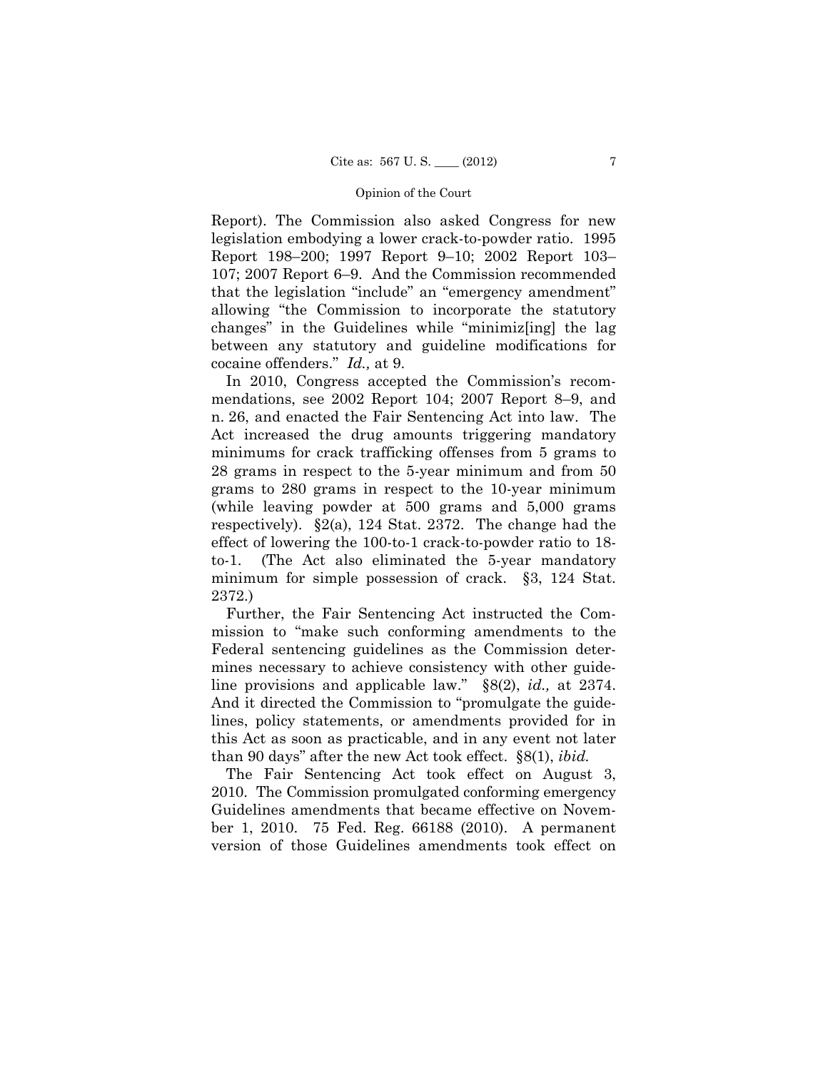Report). The Commission also asked Congress for new legislation embodying a lower crack-to-powder ratio. 1995 Report 198–200; 1997 Report 9–10; 2002 Report 103– 107; 2007 Report 6–9. And the Commission recommended that the legislation "include" an "emergency amendment" allowing "the Commission to incorporate the statutory changes" in the Guidelines while "minimiz[ing] the lag between any statutory and guideline modifications for cocaine offenders." *Id.,* at 9.

In 2010, Congress accepted the Commission's recommendations, see 2002 Report 104; 2007 Report 8–9, and n. 26, and enacted the Fair Sentencing Act into law. The Act increased the drug amounts triggering mandatory minimums for crack trafficking offenses from 5 grams to 28 grams in respect to the 5-year minimum and from 50 grams to 280 grams in respect to the 10-year minimum (while leaving powder at 500 grams and 5,000 grams respectively). §2(a), 124 Stat. 2372. The change had the effect of lowering the 100-to-1 crack-to-powder ratio to 18 to-1. (The Act also eliminated the 5-year mandatory minimum for simple possession of crack. §3, 124 Stat. 2372.)

Further, the Fair Sentencing Act instructed the Commission to "make such conforming amendments to the Federal sentencing guidelines as the Commission determines necessary to achieve consistency with other guideline provisions and applicable law." §8(2), *id.,* at 2374. And it directed the Commission to "promulgate the guidelines, policy statements, or amendments provided for in this Act as soon as practicable, and in any event not later than 90 days" after the new Act took effect. §8(1), *ibid.* 

The Fair Sentencing Act took effect on August 3, 2010. The Commission promulgated conforming emergency Guidelines amendments that became effective on November 1, 2010. 75 Fed. Reg. 66188 (2010). A permanent version of those Guidelines amendments took effect on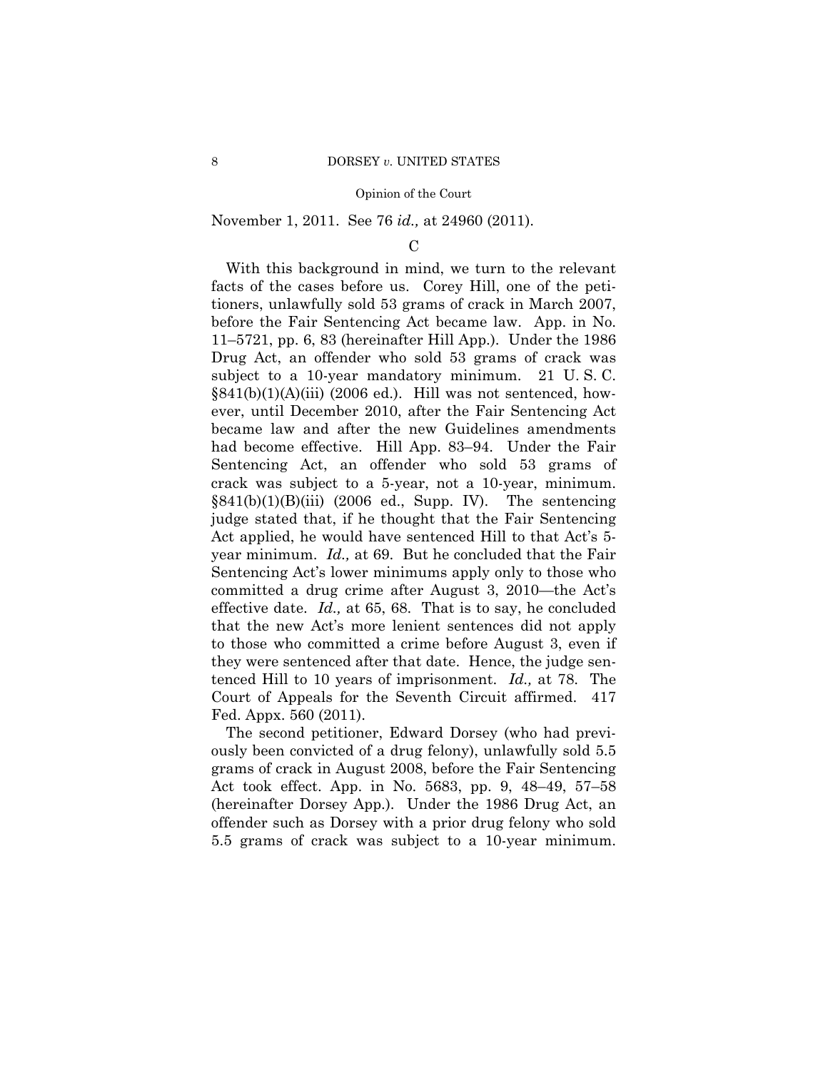## November 1, 2011. See 76 *id.,* at 24960 (2011).

#### $\mathcal{C}$

With this background in mind, we turn to the relevant facts of the cases before us. Corey Hill, one of the petitioners, unlawfully sold 53 grams of crack in March 2007, before the Fair Sentencing Act became law. App. in No. 11–5721, pp. 6, 83 (hereinafter Hill App.). Under the 1986 Drug Act, an offender who sold 53 grams of crack was subject to a 10-year mandatory minimum. 21 U. S. C.  $§841(b)(1)(A)(iii)$  (2006 ed.). Hill was not sentenced, however, until December 2010, after the Fair Sentencing Act became law and after the new Guidelines amendments had become effective. Hill App. 83–94. Under the Fair Sentencing Act, an offender who sold 53 grams of crack was subject to a 5-year, not a 10-year, minimum.  $§841(b)(1)(B)(iii)$  (2006 ed., Supp. IV). The sentencing judge stated that, if he thought that the Fair Sentencing Act applied, he would have sentenced Hill to that Act's 5 year minimum. *Id.,* at 69. But he concluded that the Fair Sentencing Act's lower minimums apply only to those who committed a drug crime after August 3, 2010—the Act's effective date. *Id.,* at 65, 68. That is to say, he concluded that the new Act's more lenient sentences did not apply to those who committed a crime before August 3, even if they were sentenced after that date. Hence, the judge sentenced Hill to 10 years of imprisonment. *Id.,* at 78. The Court of Appeals for the Seventh Circuit affirmed. 417 Fed. Appx. 560 (2011).

The second petitioner, Edward Dorsey (who had previously been convicted of a drug felony), unlawfully sold 5.5 grams of crack in August 2008, before the Fair Sentencing Act took effect. App. in No. 5683, pp. 9, 48–49, 57–58 (hereinafter Dorsey App.). Under the 1986 Drug Act, an offender such as Dorsey with a prior drug felony who sold 5.5 grams of crack was subject to a 10-year minimum.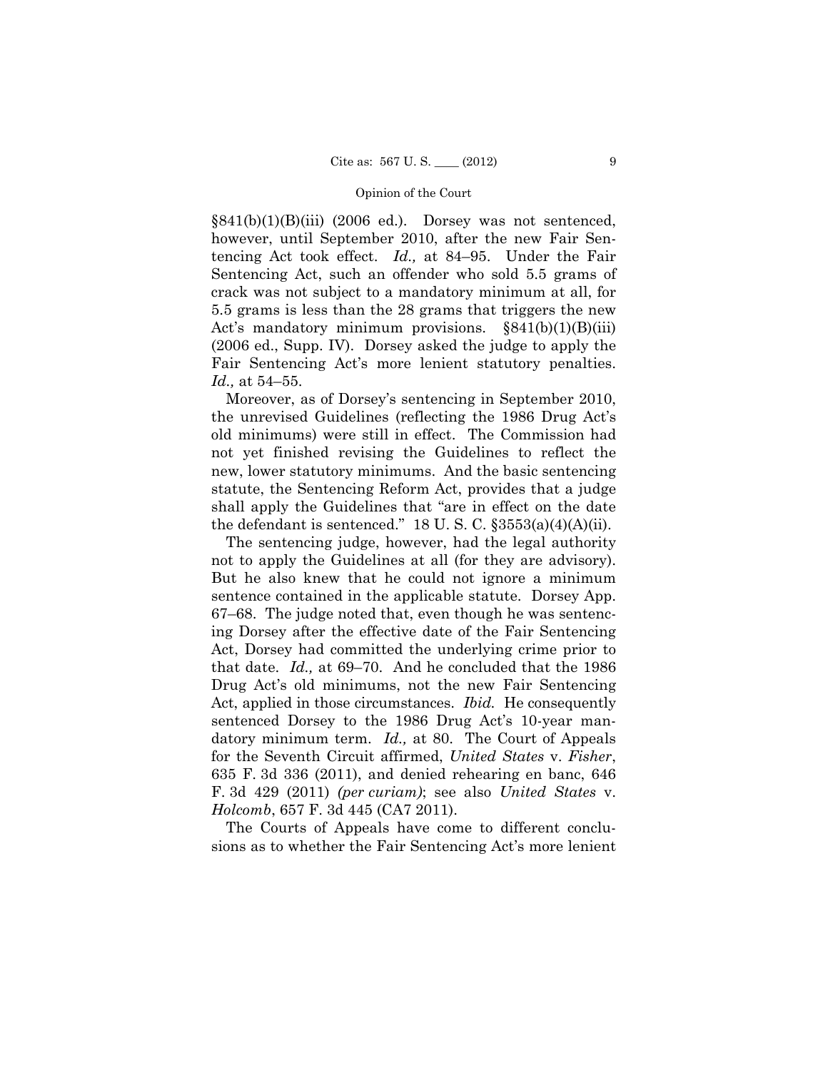$§841(b)(1)(B)(iii)$  (2006 ed.). Dorsey was not sentenced, however, until September 2010, after the new Fair Sentencing Act took effect. *Id.,* at 84–95. Under the Fair Sentencing Act, such an offender who sold 5.5 grams of crack was not subject to a mandatory minimum at all, for 5.5 grams is less than the 28 grams that triggers the new Act's mandatory minimum provisions.  $\S 841(b)(1)(B)(iii)$ (2006 ed., Supp. IV). Dorsey asked the judge to apply the Fair Sentencing Act's more lenient statutory penalties. *Id.,* at 54–55.

Moreover, as of Dorsey's sentencing in September 2010, the unrevised Guidelines (reflecting the 1986 Drug Act's old minimums) were still in effect. The Commission had not yet finished revising the Guidelines to reflect the new, lower statutory minimums. And the basic sentencing statute, the Sentencing Reform Act, provides that a judge shall apply the Guidelines that "are in effect on the date the defendant is sentenced." 18 U.S.C.  $\S 3553(a)(4)(A)(ii)$ .

 Act, applied in those circumstances. *Ibid.* He consequently The sentencing judge, however, had the legal authority not to apply the Guidelines at all (for they are advisory). But he also knew that he could not ignore a minimum sentence contained in the applicable statute. Dorsey App. 67–68. The judge noted that, even though he was sentencing Dorsey after the effective date of the Fair Sentencing Act, Dorsey had committed the underlying crime prior to that date. *Id.,* at 69–70. And he concluded that the 1986 Drug Act's old minimums, not the new Fair Sentencing sentenced Dorsey to the 1986 Drug Act's 10-year mandatory minimum term. *Id.,* at 80. The Court of Appeals for the Seventh Circuit affirmed, *United States* v. *Fisher*, 635 F. 3d 336 (2011), and denied rehearing en banc, 646 F. 3d 429 (2011) *(per curiam)*; see also *United States* v. *Holcomb*, 657 F. 3d 445 (CA7 2011).

The Courts of Appeals have come to different conclusions as to whether the Fair Sentencing Act's more lenient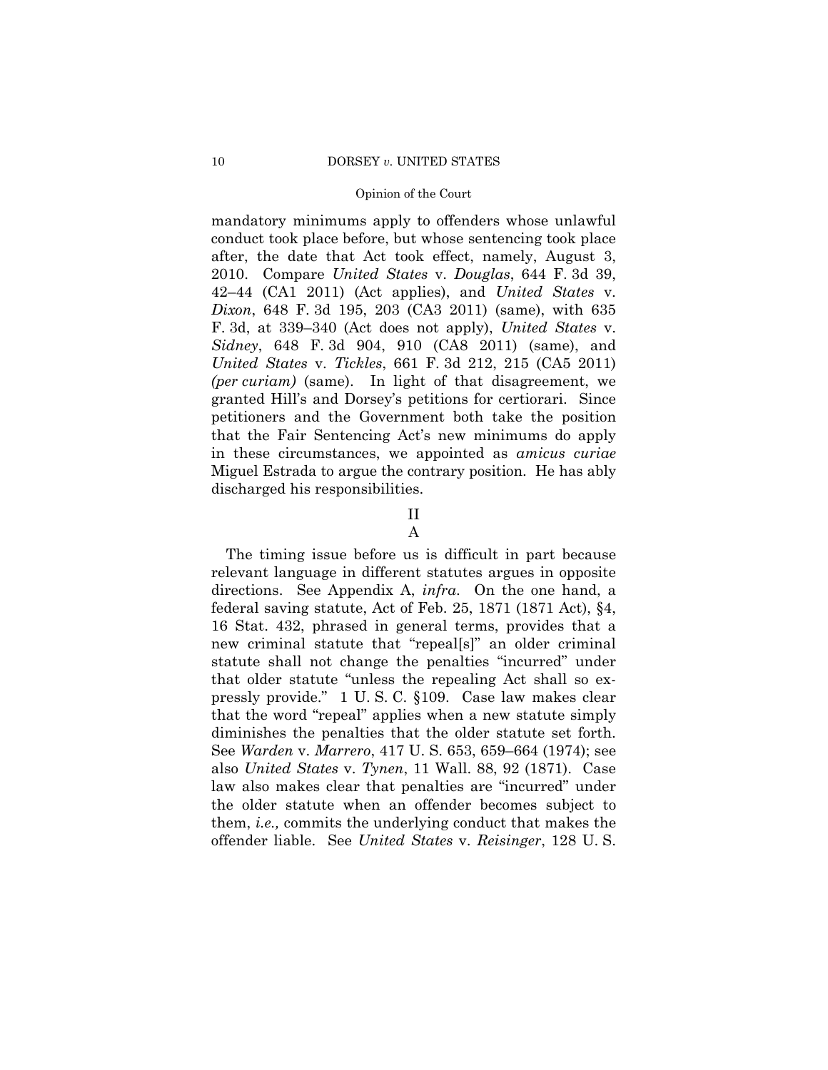conduct took place before, but whose sentencing took place mandatory minimums apply to offenders whose unlawful after, the date that Act took effect, namely, August 3, 2010. Compare *United States* v. *Douglas*, 644 F. 3d 39, 42–44 (CA1 2011) (Act applies), and *United States* v. *Dixon*, 648 F. 3d 195, 203 (CA3 2011) (same), with 635 F. 3d, at 339–340 (Act does not apply), *United States* v. *Sidney*, 648 F. 3d 904, 910 (CA8 2011) (same), and *United States* v. *Tickles*, 661 F. 3d 212, 215 (CA5 2011) *(per curiam)* (same). In light of that disagreement, we granted Hill's and Dorsey's petitions for certiorari. Since petitioners and the Government both take the position that the Fair Sentencing Act's new minimums do apply in these circumstances, we appointed as *amicus curiae*  Miguel Estrada to argue the contrary position. He has ably discharged his responsibilities.

## II

## A

The timing issue before us is difficult in part because relevant language in different statutes argues in opposite directions. See Appendix A, *infra*. On the one hand, a federal saving statute, Act of Feb. 25, 1871 (1871 Act), §4, 16 Stat. 432, phrased in general terms, provides that a new criminal statute that "repeal[s]" an older criminal statute shall not change the penalties "incurred" under that older statute "unless the repealing Act shall so expressly provide." 1 U. S. C. §109. Case law makes clear that the word "repeal" applies when a new statute simply diminishes the penalties that the older statute set forth. See *Warden* v. *Marrero*, 417 U. S. 653, 659–664 (1974); see also *United States* v. *Tynen*, 11 Wall. 88, 92 (1871). Case law also makes clear that penalties are "incurred" under the older statute when an offender becomes subject to them, *i.e.,* commits the underlying conduct that makes the offender liable. See *United States* v. *Reisinger*, 128 U. S.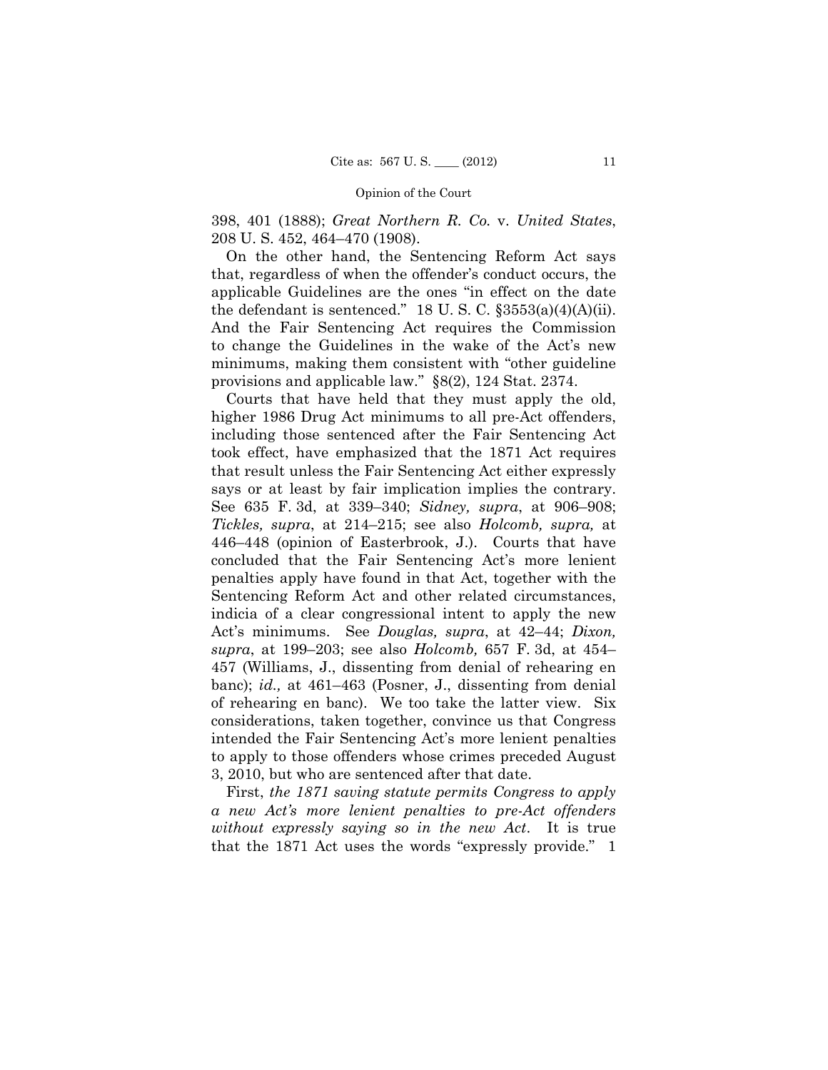398, 401 (1888); *Great Northern R. Co.* v. *United States*, 208 U. S. 452, 464–470 (1908).

On the other hand, the Sentencing Reform Act says that, regardless of when the offender's conduct occurs, the applicable Guidelines are the ones "in effect on the date the defendant is sentenced." 18 U.S.C.  $\S 3553(a)(4)(A)(ii)$ . And the Fair Sentencing Act requires the Commission to change the Guidelines in the wake of the Act's new minimums, making them consistent with "other guideline provisions and applicable law." §8(2), 124 Stat. 2374.

Courts that have held that they must apply the old, higher 1986 Drug Act minimums to all pre-Act offenders, including those sentenced after the Fair Sentencing Act took effect, have emphasized that the 1871 Act requires that result unless the Fair Sentencing Act either expressly says or at least by fair implication implies the contrary. See 635 F. 3d, at 339–340; *Sidney, supra*, at 906–908; *Tickles, supra*, at 214–215; see also *Holcomb, supra,* at 446–448 (opinion of Easterbrook, J.). Courts that have concluded that the Fair Sentencing Act's more lenient penalties apply have found in that Act, together with the Sentencing Reform Act and other related circumstances, indicia of a clear congressional intent to apply the new Act's minimums. See *Douglas, supra*, at 42–44; *Dixon, supra*, at 199–203; see also *Holcomb,* 657 F. 3d, at 454– 457 (Williams, J., dissenting from denial of rehearing en banc); *id.,* at 461–463 (Posner, J., dissenting from denial of rehearing en banc). We too take the latter view. Six considerations, taken together, convince us that Congress intended the Fair Sentencing Act's more lenient penalties to apply to those offenders whose crimes preceded August 3, 2010, but who are sentenced after that date.

First, *the 1871 saving statute permits Congress to apply a new Act's more lenient penalties to pre-Act offenders without expressly saying so in the new Act*. It is true that the 1871 Act uses the words "expressly provide." 1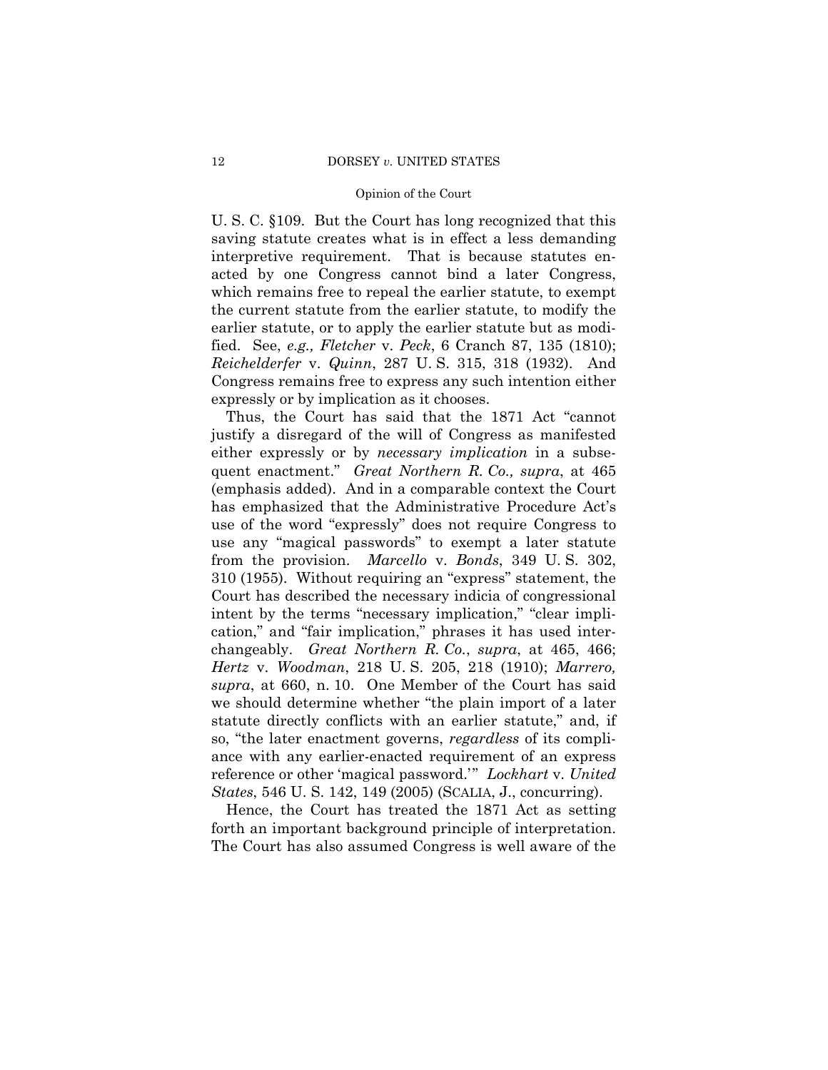U. S. C. §109. But the Court has long recognized that this saving statute creates what is in effect a less demanding interpretive requirement. That is because statutes enacted by one Congress cannot bind a later Congress, which remains free to repeal the earlier statute, to exempt the current statute from the earlier statute, to modify the earlier statute, or to apply the earlier statute but as modified. See, *e.g., Fletcher* v. *Peck*, 6 Cranch 87, 135 (1810); *Reichelderfer* v. *Quinn*, 287 U. S. 315, 318 (1932). And Congress remains free to express any such intention either expressly or by implication as it chooses.

Thus, the Court has said that the 1871 Act "cannot justify a disregard of the will of Congress as manifested either expressly or by *necessary implication* in a subsequent enactment." *Great Northern R. Co., supra*, at 465 (emphasis added). And in a comparable context the Court has emphasized that the Administrative Procedure Act's use of the word "expressly" does not require Congress to use any "magical passwords" to exempt a later statute from the provision. *Marcello* v. *Bonds*, 349 U. S. 302, 310 (1955). Without requiring an "express" statement, the Court has described the necessary indicia of congressional intent by the terms "necessary implication," "clear implication," and "fair implication," phrases it has used interchangeably. *Great Northern R. Co.*, *supra*, at 465, 466; *Hertz* v. *Woodman*, 218 U. S. 205, 218 (1910); *Marrero, supra*, at 660, n. 10. One Member of the Court has said we should determine whether "the plain import of a later statute directly conflicts with an earlier statute," and, if so, "the later enactment governs, *regardless* of its compliance with any earlier-enacted requirement of an express reference or other 'magical password.'" *Lockhart* v. *United States*, 546 U. S. 142, 149 (2005) (SCALIA, J., concurring).

 forth an important background principle of interpretation. Hence, the Court has treated the 1871 Act as setting The Court has also assumed Congress is well aware of the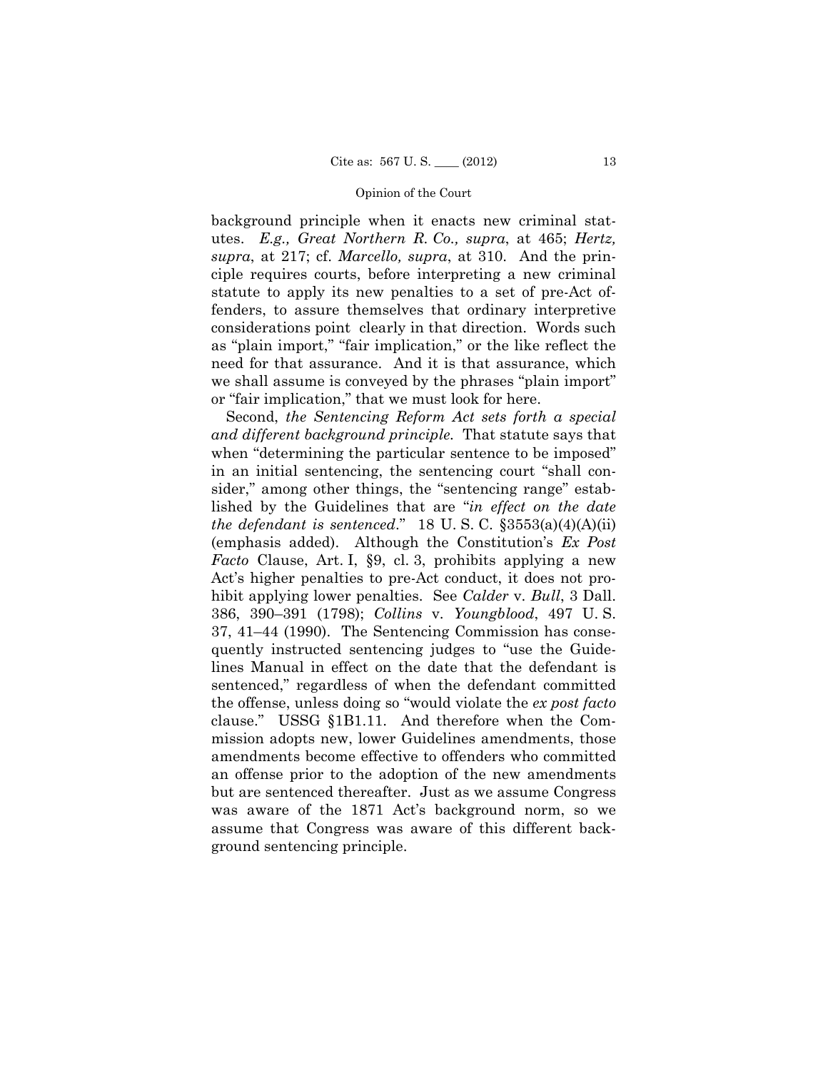background principle when it enacts new criminal statutes. *E.g., Great Northern R. Co., supra*, at 465; *Hertz, supra*, at 217; cf. *Marcello, supra*, at 310. And the principle requires courts, before interpreting a new criminal statute to apply its new penalties to a set of pre-Act offenders, to assure themselves that ordinary interpretive considerations point clearly in that direction. Words such as "plain import," "fair implication," or the like reflect the need for that assurance. And it is that assurance, which we shall assume is conveyed by the phrases "plain import" or "fair implication," that we must look for here.

Second, *the Sentencing Reform Act sets forth a special and different background principle.* That statute says that when "determining the particular sentence to be imposed" in an initial sentencing, the sentencing court "shall consider," among other things, the "sentencing range" established by the Guidelines that are "*in effect on the date the defendant is sentenced*." 18 U. S. C. §3553(a)(4)(A)(ii) (emphasis added). Although the Constitution's *Ex Post Facto* Clause, Art. I, §9, cl. 3, prohibits applying a new Act's higher penalties to pre-Act conduct, it does not prohibit applying lower penalties. See *Calder* v. *Bull*, 3 Dall. 386, 390–391 (1798); *Collins* v. *Youngblood*, 497 U. S. 37, 41–44 (1990). The Sentencing Commission has consequently instructed sentencing judges to "use the Guidelines Manual in effect on the date that the defendant is sentenced," regardless of when the defendant committed the offense, unless doing so "would violate the *ex post facto*  clause." USSG §1B1.11. And therefore when the Commission adopts new, lower Guidelines amendments, those amendments become effective to offenders who committed an offense prior to the adoption of the new amendments but are sentenced thereafter. Just as we assume Congress was aware of the 1871 Act's background norm, so we assume that Congress was aware of this different background sentencing principle.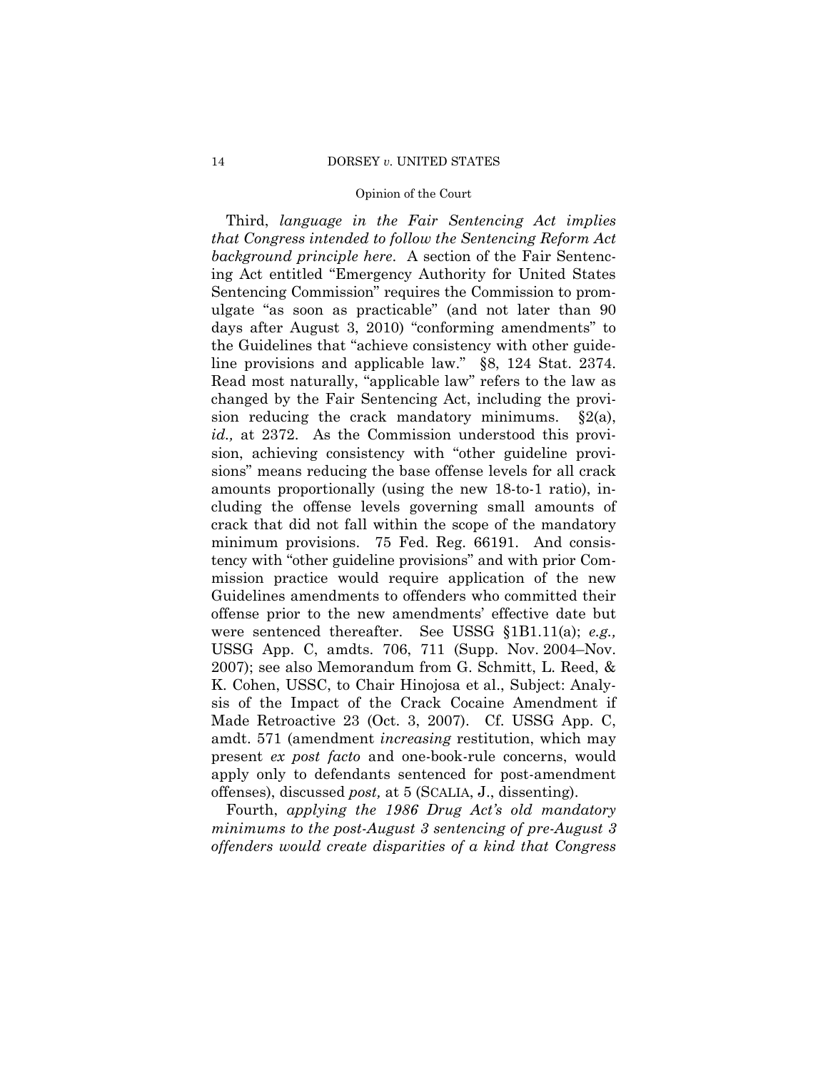Third, *language in the Fair Sentencing Act implies that Congress intended to follow the Sentencing Reform Act background principle here*. A section of the Fair Sentencing Act entitled "Emergency Authority for United States Sentencing Commission" requires the Commission to promulgate "as soon as practicable" (and not later than 90 days after August 3, 2010) "conforming amendments" to the Guidelines that "achieve consistency with other guideline provisions and applicable law." §8, 124 Stat. 2374. Read most naturally, "applicable law" refers to the law as changed by the Fair Sentencing Act, including the provision reducing the crack mandatory minimums.  $\S 2(a)$ , *id.,* at 2372. As the Commission understood this provision, achieving consistency with "other guideline provisions" means reducing the base offense levels for all crack amounts proportionally (using the new 18-to-1 ratio), including the offense levels governing small amounts of crack that did not fall within the scope of the mandatory minimum provisions. 75 Fed. Reg. 66191. And consistency with "other guideline provisions" and with prior Commission practice would require application of the new Guidelines amendments to offenders who committed their offense prior to the new amendments' effective date but were sentenced thereafter. See USSG §1B1.11(a); *e.g.,* USSG App. C, amdts. 706, 711 (Supp. Nov. 2004–Nov. 2007); see also Memorandum from G. Schmitt, L. Reed, & K. Cohen, USSC, to Chair Hinojosa et al., Subject: Analysis of the Impact of the Crack Cocaine Amendment if Made Retroactive 23 (Oct. 3, 2007). Cf. USSG App. C, amdt. 571 (amendment *increasing* restitution, which may present *ex post facto* and one-book-rule concerns, would apply only to defendants sentenced for post-amendment offenses), discussed *post,* at 5 (SCALIA, J., dissenting).

Fourth, *applying the 1986 Drug Act's old mandatory minimums to the post-August 3 sentencing of pre-August 3 offenders would create disparities of a kind that Congress*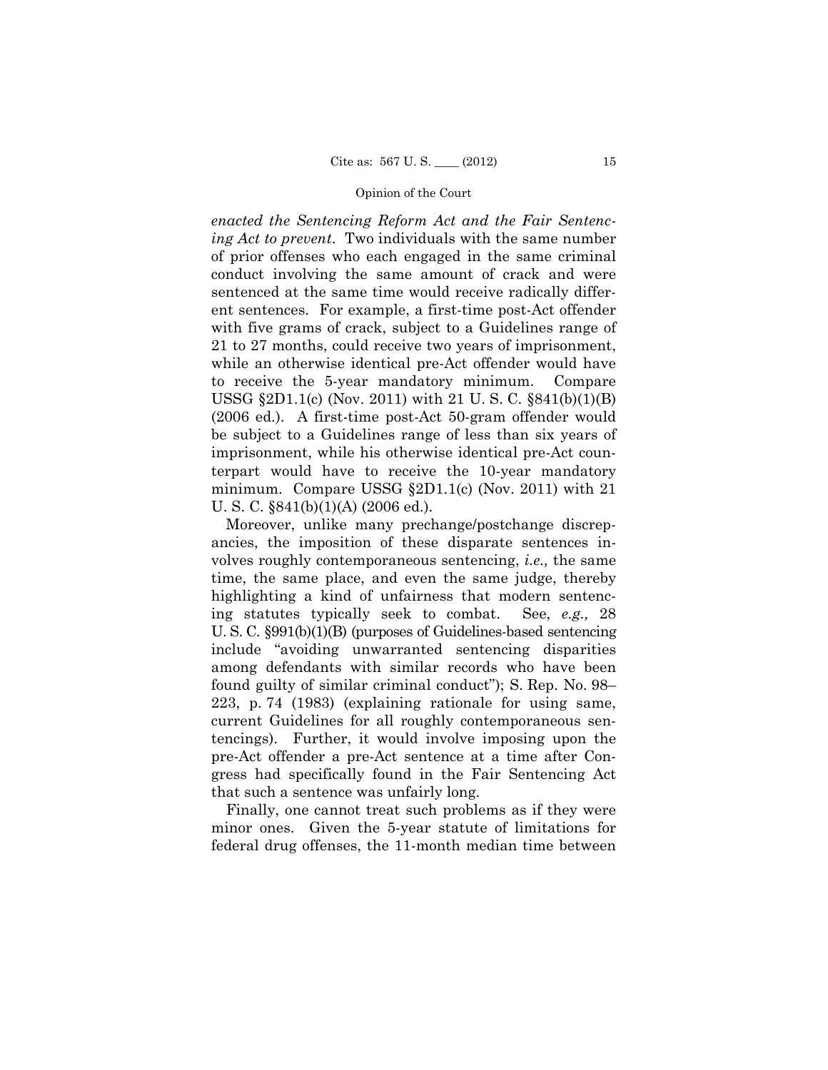*enacted the Sentencing Reform Act and the Fair Sentencing Act to prevent*. Two individuals with the same number of prior offenses who each engaged in the same criminal conduct involving the same amount of crack and were sentenced at the same time would receive radically different sentences. For example, a first-time post-Act offender with five grams of crack, subject to a Guidelines range of 21 to 27 months, could receive two years of imprisonment, while an otherwise identical pre-Act offender would have to receive the 5-year mandatory minimum. Compare USSG §2D1.1(c) (Nov. 2011) with 21 U. S. C. §841(b)(1)(B) (2006 ed.). A first-time post-Act 50-gram offender would be subject to a Guidelines range of less than six years of imprisonment, while his otherwise identical pre-Act counterpart would have to receive the 10-year mandatory minimum. Compare USSG §2D1.1(c) (Nov. 2011) with 21 U. S. C. §841(b)(1)(A) (2006 ed.).

See, *e.g.*, 28 Moreover, unlike many prechange/postchange discrepancies, the imposition of these disparate sentences involves roughly contemporaneous sentencing, *i.e.,* the same time, the same place, and even the same judge, thereby highlighting a kind of unfairness that modern sentencing statutes typically seek to combat. See, *e.g.,* 28 U. S. C. §991(b)(1)(B) (purposes of Guidelines-based sentencing include "avoiding unwarranted sentencing disparities among defendants with similar records who have been found guilty of similar criminal conduct"); S. Rep. No. 98– 223, p. 74 (1983) (explaining rationale for using same, current Guidelines for all roughly contemporaneous sentencings). Further, it would involve imposing upon the pre-Act offender a pre-Act sentence at a time after Congress had specifically found in the Fair Sentencing Act that such a sentence was unfairly long.

Finally, one cannot treat such problems as if they were minor ones. Given the 5-year statute of limitations for federal drug offenses, the 11-month median time between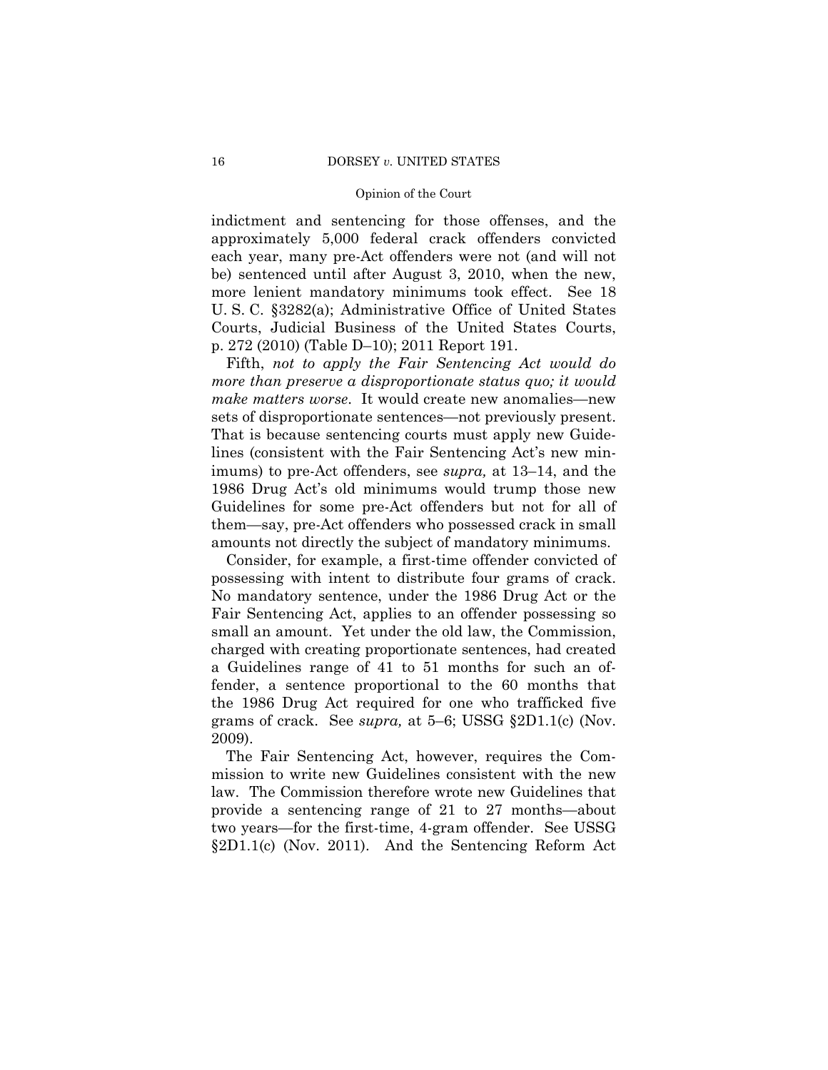indictment and sentencing for those offenses, and the approximately 5,000 federal crack offenders convicted each year, many pre-Act offenders were not (and will not be) sentenced until after August 3, 2010, when the new, more lenient mandatory minimums took effect. See 18 U. S. C. §3282(a); Administrative Office of United States Courts, Judicial Business of the United States Courts, p. 272 (2010) (Table D–10); 2011 Report 191.

Fifth, *not to apply the Fair Sentencing Act would do more than preserve a disproportionate status quo; it would make matters worse*. It would create new anomalies—new sets of disproportionate sentences—not previously present. That is because sentencing courts must apply new Guidelines (consistent with the Fair Sentencing Act's new minimums) to pre-Act offenders, see *supra,* at 13–14, and the 1986 Drug Act's old minimums would trump those new Guidelines for some pre-Act offenders but not for all of them—say, pre-Act offenders who possessed crack in small amounts not directly the subject of mandatory minimums.

Consider, for example, a first-time offender convicted of possessing with intent to distribute four grams of crack. No mandatory sentence, under the 1986 Drug Act or the Fair Sentencing Act, applies to an offender possessing so small an amount. Yet under the old law, the Commission, charged with creating proportionate sentences, had created a Guidelines range of 41 to 51 months for such an offender, a sentence proportional to the 60 months that the 1986 Drug Act required for one who trafficked five grams of crack. See *supra,* at 5–6; USSG §2D1.1(c) (Nov. 2009).

The Fair Sentencing Act, however, requires the Commission to write new Guidelines consistent with the new law. The Commission therefore wrote new Guidelines that provide a sentencing range of 21 to 27 months—about two years—for the first-time, 4-gram offender. See USSG §2D1.1(c) (Nov. 2011). And the Sentencing Reform Act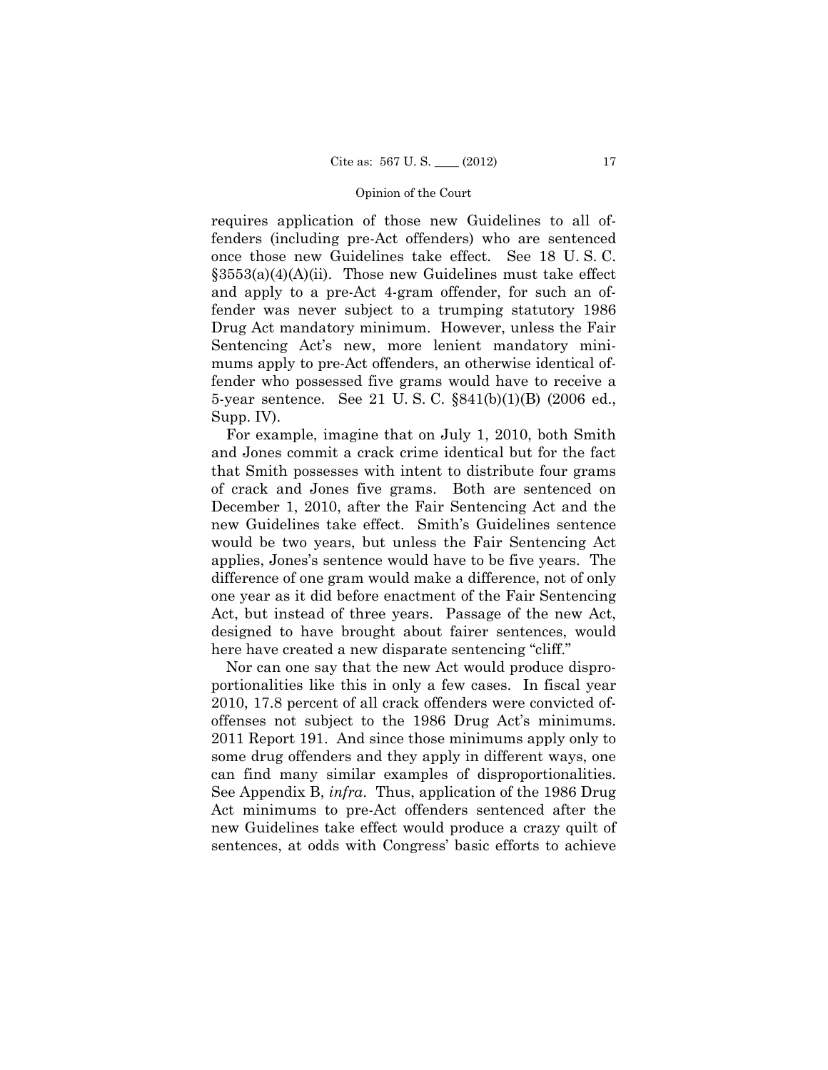requires application of those new Guidelines to all offenders (including pre-Act offenders) who are sentenced once those new Guidelines take effect. See 18 U. S. C.  $\S 3553(a)(4)(A)(ii)$ . Those new Guidelines must take effect and apply to a pre-Act 4-gram offender, for such an offender was never subject to a trumping statutory 1986 Drug Act mandatory minimum. However, unless the Fair Sentencing Act's new, more lenient mandatory minimums apply to pre-Act offenders, an otherwise identical offender who possessed five grams would have to receive a 5-year sentence. See 21 U. S. C. §841(b)(1)(B) (2006 ed., Supp. IV).

For example, imagine that on July 1, 2010, both Smith and Jones commit a crack crime identical but for the fact that Smith possesses with intent to distribute four grams of crack and Jones five grams. Both are sentenced on December 1, 2010, after the Fair Sentencing Act and the new Guidelines take effect. Smith's Guidelines sentence would be two years, but unless the Fair Sentencing Act applies, Jones's sentence would have to be five years. The difference of one gram would make a difference, not of only one year as it did before enactment of the Fair Sentencing Act, but instead of three years. Passage of the new Act, designed to have brought about fairer sentences, would here have created a new disparate sentencing "cliff."

Nor can one say that the new Act would produce disproportionalities like this in only a few cases. In fiscal year 2010, 17.8 percent of all crack offenders were convicted ofoffenses not subject to the 1986 Drug Act's minimums. 2011 Report 191. And since those minimums apply only to some drug offenders and they apply in different ways, one can find many similar examples of disproportionalities. See Appendix B, *infra*. Thus, application of the 1986 Drug Act minimums to pre-Act offenders sentenced after the new Guidelines take effect would produce a crazy quilt of sentences, at odds with Congress' basic efforts to achieve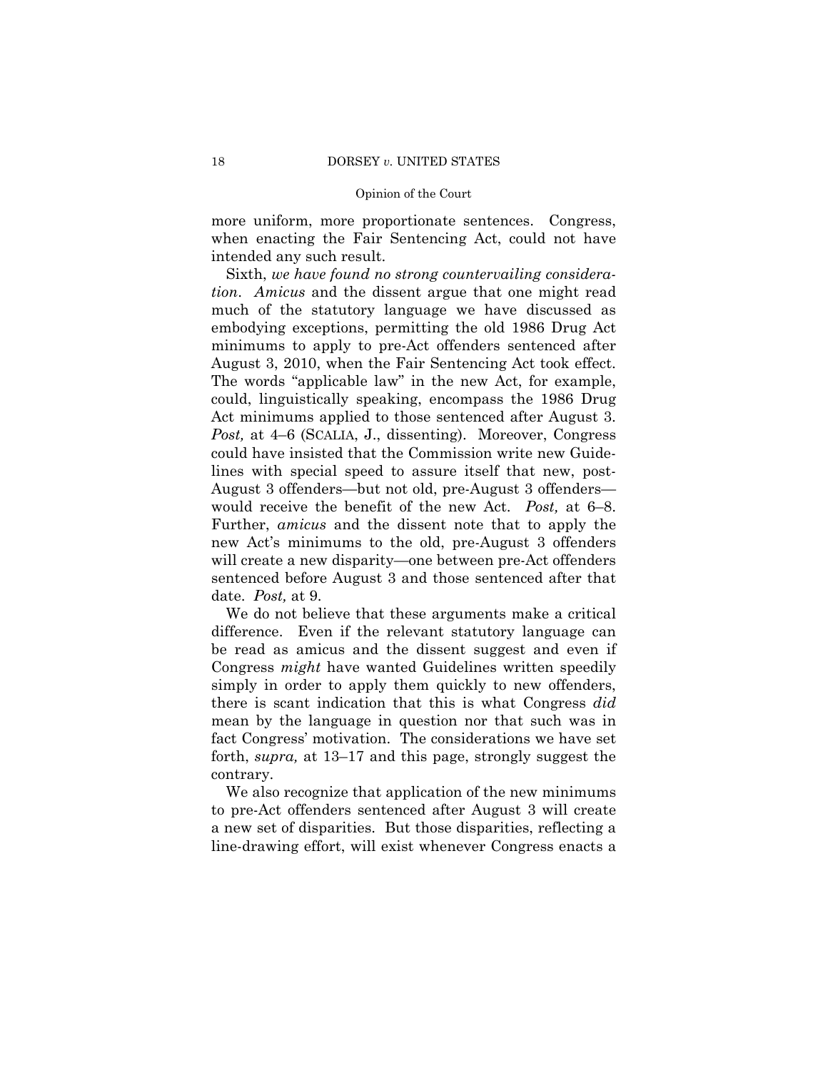more uniform, more proportionate sentences. Congress, when enacting the Fair Sentencing Act, could not have intended any such result.

 August 3, 2010, when the Fair Sentencing Act took effect. Act minimums applied to those sentenced after August 3. would receive the benefit of the new Act. *Post,* at 6–8. Further, *amicus* and the dissent note that to apply the Sixth, *we have found no strong countervailing consideration*. *Amicus* and the dissent argue that one might read much of the statutory language we have discussed as embodying exceptions, permitting the old 1986 Drug Act minimums to apply to pre-Act offenders sentenced after The words "applicable law" in the new Act, for example, could, linguistically speaking, encompass the 1986 Drug *Post,* at 4–6 (SCALIA, J., dissenting). Moreover, Congress could have insisted that the Commission write new Guidelines with special speed to assure itself that new, post-August 3 offenders—but not old, pre-August 3 offenders new Act's minimums to the old, pre-August 3 offenders will create a new disparity—one between pre-Act offenders sentenced before August 3 and those sentenced after that date. *Post,* at 9.

We do not believe that these arguments make a critical difference. Even if the relevant statutory language can be read as amicus and the dissent suggest and even if Congress *might* have wanted Guidelines written speedily simply in order to apply them quickly to new offenders, there is scant indication that this is what Congress *did*  mean by the language in question nor that such was in fact Congress' motivation. The considerations we have set forth, *supra,* at 13–17 and this page, strongly suggest the contrary.

We also recognize that application of the new minimums to pre-Act offenders sentenced after August 3 will create a new set of disparities. But those disparities, reflecting a line-drawing effort, will exist whenever Congress enacts a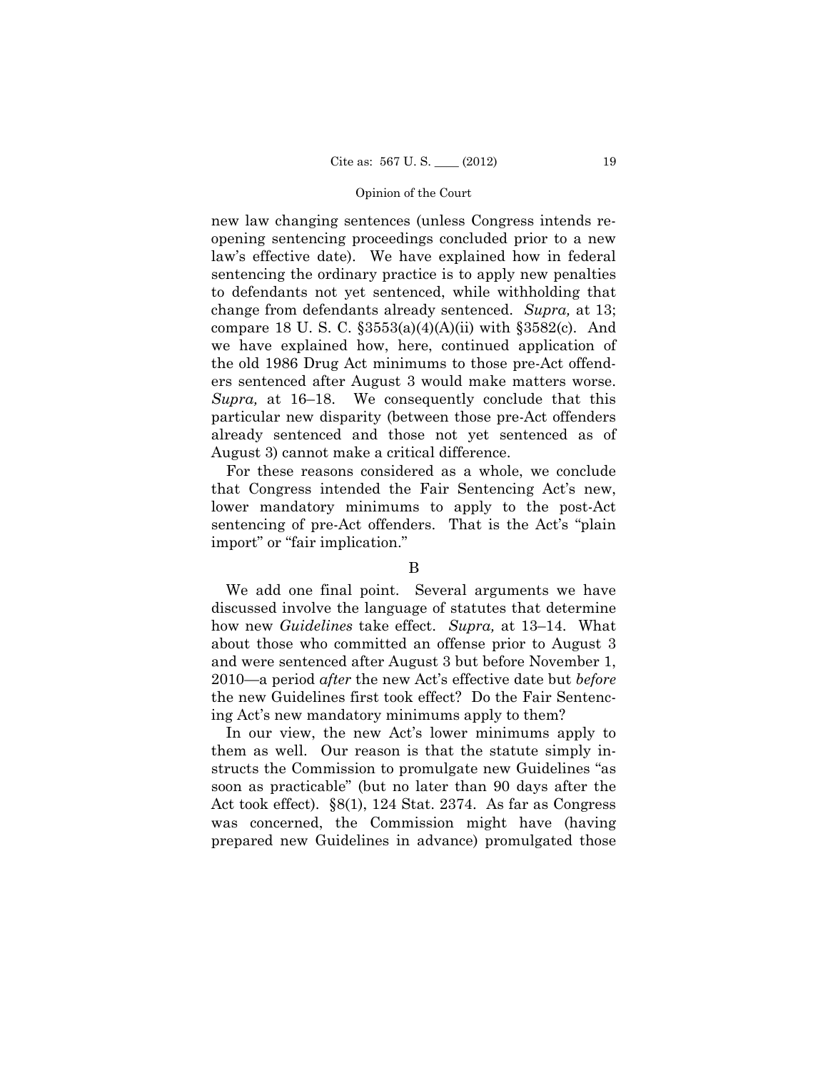already sentenced and those not yet sentenced as of new law changing sentences (unless Congress intends reopening sentencing proceedings concluded prior to a new law's effective date). We have explained how in federal sentencing the ordinary practice is to apply new penalties to defendants not yet sentenced, while withholding that change from defendants already sentenced. *Supra,* at 13; compare 18 U. S. C.  $\S 3553(a)(4)(A)(ii)$  with  $\S 3582(c)$ . And we have explained how, here, continued application of the old 1986 Drug Act minimums to those pre-Act offenders sentenced after August 3 would make matters worse. *Supra,* at 16–18. We consequently conclude that this particular new disparity (between those pre-Act offenders August 3) cannot make a critical difference.

For these reasons considered as a whole, we conclude that Congress intended the Fair Sentencing Act's new, lower mandatory minimums to apply to the post-Act sentencing of pre-Act offenders. That is the Act's "plain import" or "fair implication."

## B

We add one final point. Several arguments we have discussed involve the language of statutes that determine how new *Guidelines* take effect. *Supra,* at 13–14. What about those who committed an offense prior to August 3 and were sentenced after August 3 but before November 1, 2010—a period *after* the new Act's effective date but *before*  the new Guidelines first took effect? Do the Fair Sentencing Act's new mandatory minimums apply to them?

In our view, the new Act's lower minimums apply to them as well. Our reason is that the statute simply instructs the Commission to promulgate new Guidelines "as soon as practicable" (but no later than 90 days after the Act took effect). §8(1), 124 Stat. 2374. As far as Congress was concerned, the Commission might have (having prepared new Guidelines in advance) promulgated those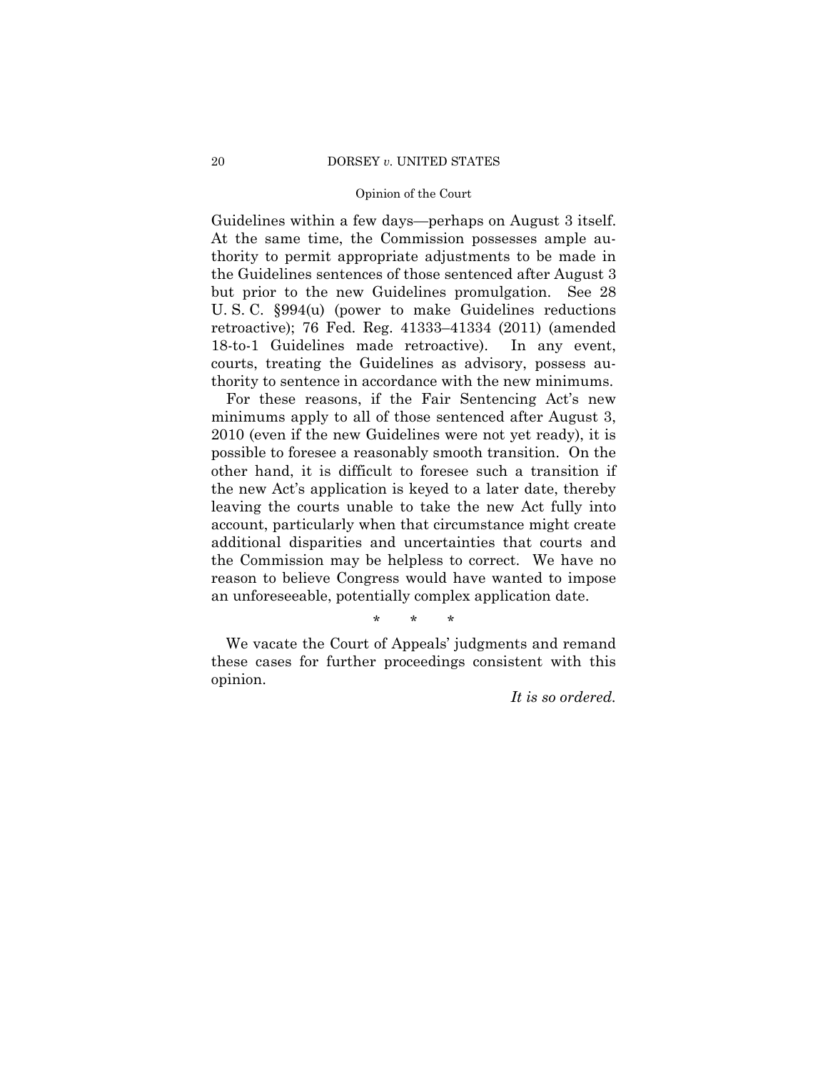#### 20 DORSEY *v*. UNITED STATES

## Opinion of the Court

Guidelines within a few days—perhaps on August 3 itself. At the same time, the Commission possesses ample authority to permit appropriate adjustments to be made in the Guidelines sentences of those sentenced after August 3 but prior to the new Guidelines promulgation. See 28 U. S. C. §994(u) (power to make Guidelines reductions retroactive); 76 Fed. Reg. 41333–41334 (2011) (amended 18-to-1 Guidelines made retroactive). In any event, courts, treating the Guidelines as advisory, possess authority to sentence in accordance with the new minimums.

For these reasons, if the Fair Sentencing Act's new minimums apply to all of those sentenced after August 3, 2010 (even if the new Guidelines were not yet ready), it is possible to foresee a reasonably smooth transition. On the other hand, it is difficult to foresee such a transition if the new Act's application is keyed to a later date, thereby leaving the courts unable to take the new Act fully into account, particularly when that circumstance might create additional disparities and uncertainties that courts and the Commission may be helpless to correct. We have no reason to believe Congress would have wanted to impose an unforeseeable, potentially complex application date.

\* \* \*

We vacate the Court of Appeals' judgments and remand these cases for further proceedings consistent with this opinion.

*It is so ordered.*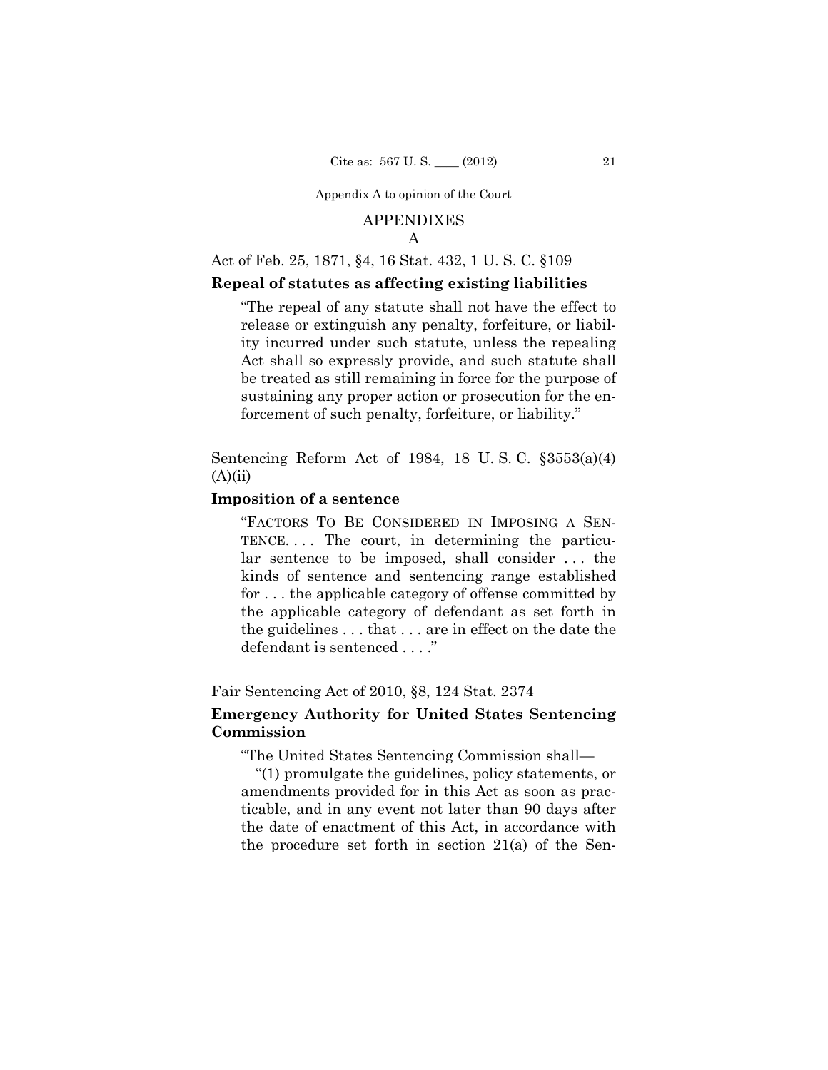## APPENDIXES

A

## Act of Feb. 25, 1871, §4, 16 Stat. 432, 1 U. S. C. §109

## **Repeal of statutes as affecting existing liabilities**

"The repeal of any statute shall not have the effect to release or extinguish any penalty, forfeiture, or liability incurred under such statute, unless the repealing Act shall so expressly provide, and such statute shall be treated as still remaining in force for the purpose of sustaining any proper action or prosecution for the enforcement of such penalty, forfeiture, or liability."

Sentencing Reform Act of 1984, 18 U. S. C. §3553(a)(4)  $(A)(ii)$ 

## **Imposition of a sentence**

"FACTORS TO BE CONSIDERED IN IMPOSING A SEN-TENCE. . . . The court, in determining the particular sentence to be imposed, shall consider . . . the kinds of sentence and sentencing range established for . . . the applicable category of offense committed by the applicable category of defendant as set forth in the guidelines . . . that . . . are in effect on the date the defendant is sentenced . . . ."

## Fair Sentencing Act of 2010, §8, 124 Stat. 2374

## **Emergency Authority for United States Sentencing Commission**

"The United States Sentencing Commission shall—

"(1) promulgate the guidelines, policy statements, or amendments provided for in this Act as soon as practicable, and in any event not later than 90 days after the date of enactment of this Act, in accordance with the procedure set forth in section 21(a) of the Sen-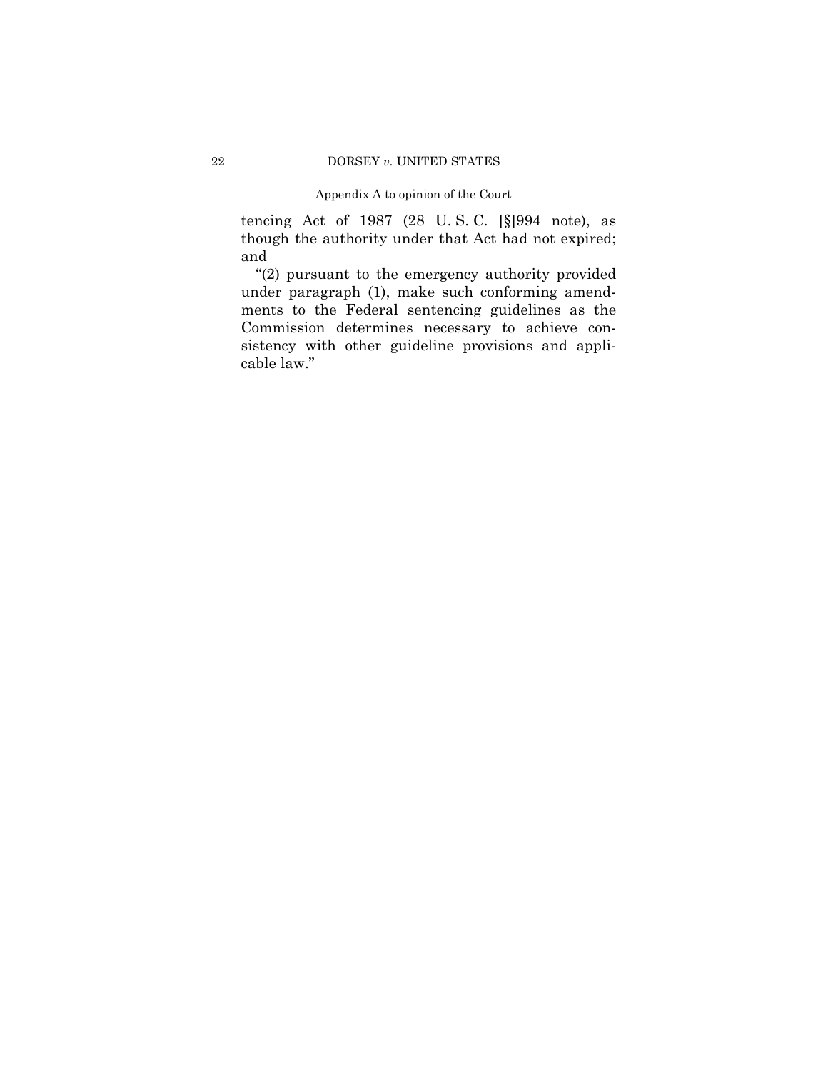tencing Act of 1987 (28 U. S. C. [§]994 note), as though the authority under that Act had not expired; and

"(2) pursuant to the emergency authority provided under paragraph (1), make such conforming amendments to the Federal sentencing guidelines as the Commission determines necessary to achieve consistency with other guideline provisions and applicable law."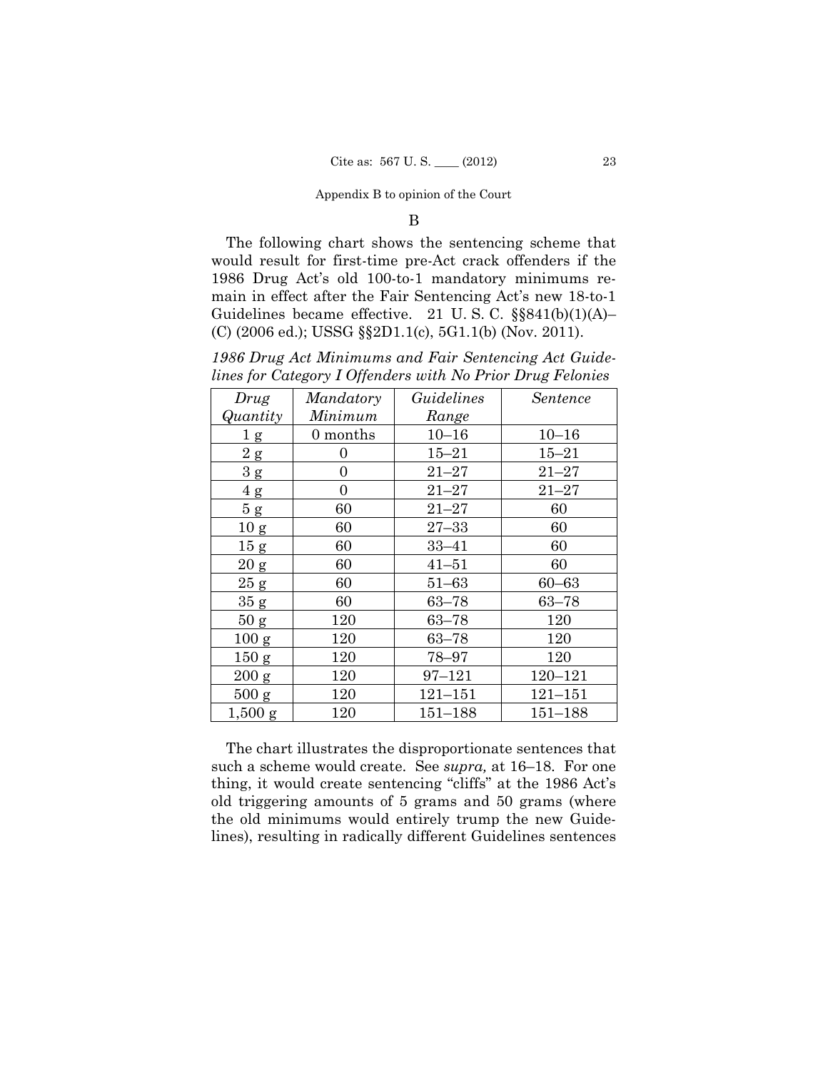#### B

The following chart shows the sentencing scheme that would result for first-time pre-Act crack offenders if the 1986 Drug Act's old 100-to-1 mandatory minimums remain in effect after the Fair Sentencing Act's new 18-to-1 Guidelines became effective. 21 U.S.C.  $\S$ §841(b)(1)(A)– (C) (2006 ed.); USSG §§2D1.1(c), 5G1.1(b) (Nov. 2011).

*1986 Drug Act Minimums and Fair Sentencing Act Guidelines for Category I Offenders with No Prior Drug Felonies* 

| Drug             | Mandatory | Guidelines  | <i>Sentence</i> |
|------------------|-----------|-------------|-----------------|
| Quantity         | Minimum   | Range       |                 |
| 1 <sub>g</sub>   | 0 months  | $10 - 16$   | $10 - 16$       |
| 2 g              | 0         | $15 - 21$   | $15 - 21$       |
| 3 g              | 0         | $21 - 27$   | $21 - 27$       |
| 4g               | 0         | $21 - 27$   | $21 - 27$       |
| 5g               | 60        | $21 - 27$   | 60              |
| 10 <sub>g</sub>  | 60        | $27 - 33$   | 60              |
| 15 g             | 60        | 33–41       | 60              |
| $20\:{\rm g}$    | 60        | $41 - 51$   | 60              |
| 25 g             | 60        | $51 - 63$   | $60 - 63$       |
| 35 g             | 60        | $63 - 78$   | $63 - 78$       |
| 50 g             | 120       | $63 - 78$   | 120             |
| 100 <sub>g</sub> | 120       | $63 - 78$   | 120             |
| 150 g            | 120       | 78-97       | 120             |
| 200 g            | 120       | $97 - 121$  | $120 - 121$     |
| 500 g            | 120       | $121 - 151$ | $121 - 151$     |
| $1,500$ g        | 120       | $151 - 188$ | $151 - 188$     |

The chart illustrates the disproportionate sentences that such a scheme would create. See *supra,* at 16–18. For one thing, it would create sentencing "cliffs" at the 1986 Act's old triggering amounts of 5 grams and 50 grams (where the old minimums would entirely trump the new Guidelines), resulting in radically different Guidelines sentences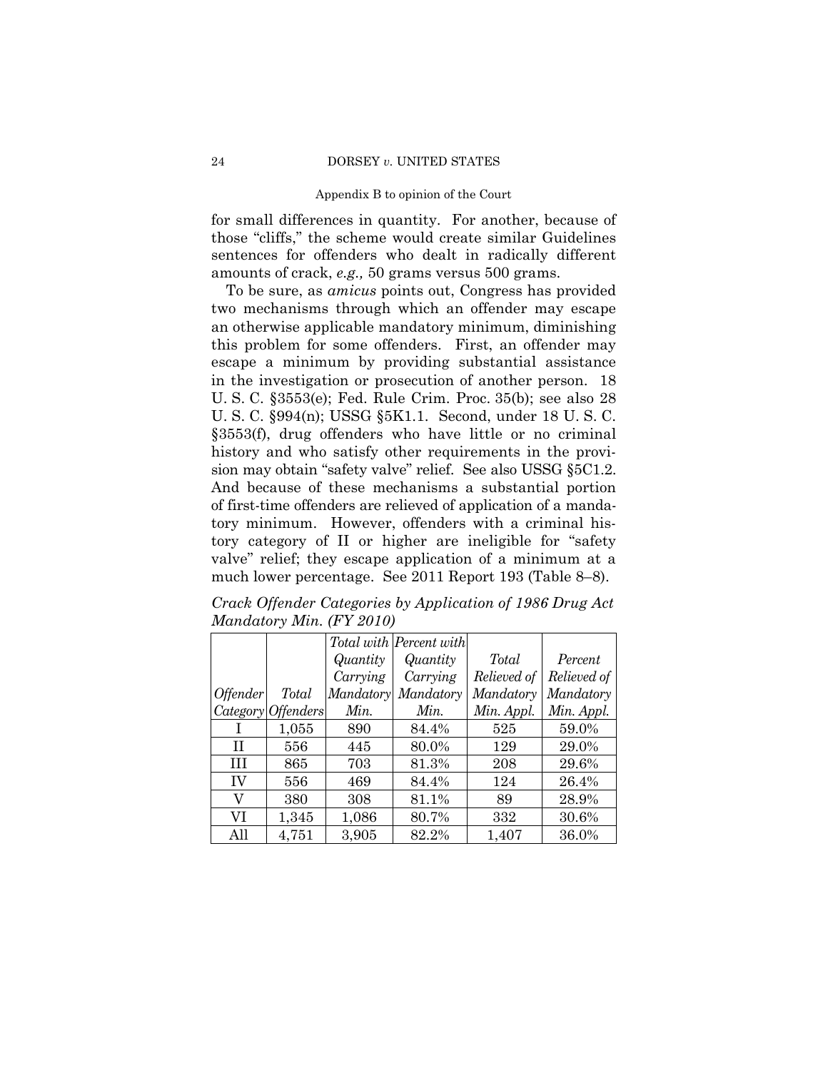for small differences in quantity. For another, because of those "cliffs," the scheme would create similar Guidelines sentences for offenders who dealt in radically different amounts of crack, *e.g.,* 50 grams versus 500 grams.

To be sure, as *amicus* points out, Congress has provided two mechanisms through which an offender may escape an otherwise applicable mandatory minimum, diminishing this problem for some offenders. First, an offender may escape a minimum by providing substantial assistance in the investigation or prosecution of another person. 18 U. S. C. §3553(e); Fed. Rule Crim. Proc. 35(b); see also 28 U. S. C. §994(n); USSG §5K1.1. Second, under 18 U. S. C. §3553(f), drug offenders who have little or no criminal history and who satisfy other requirements in the provision may obtain "safety valve" relief. See also USSG §5C1.2. And because of these mechanisms a substantial portion of first-time offenders are relieved of application of a mandatory minimum. However, offenders with a criminal history category of II or higher are ineligible for "safety valve" relief; they escape application of a minimum at a much lower percentage. See 2011 Report 193 (Table 8–8).

*Crack Offender Categories by Application of 1986 Drug Act Mandatory Min. (FY 2010)* 

|                        |                    |           | Total with Percent with |             |             |
|------------------------|--------------------|-----------|-------------------------|-------------|-------------|
|                        |                    | Quantity  | Quantity                | Total       | Percent     |
|                        |                    | Carrying  | Carrying                | Relieved of | Relieved of |
| <i><b>Offender</b></i> | <b>Total</b>       | Mandatory | Mandatory               | Mandatory   | Mandatory   |
|                        | Category Offenders | Min.      | Min.                    | Min. Appl.  | Min. Appl.  |
|                        | 1,055              | 890       | 84.4%                   | 525         | 59.0%       |
| H                      | 556                | 445       | 80.0%                   | 129         | 29.0%       |
| Ш                      | 865                | 703       | 81.3%                   | 208         | 29.6%       |
| IV                     | 556                | 469       | 84.4%                   | 124         | 26.4%       |
| V                      | 380                | 308       | 81.1%                   | 89          | 28.9%       |
| VI                     | 1,345              | 1,086     | 80.7%                   | 332         | 30.6%       |
| All                    | 4,751              | 3,905     | 82.2%                   | 1,407       | 36.0%       |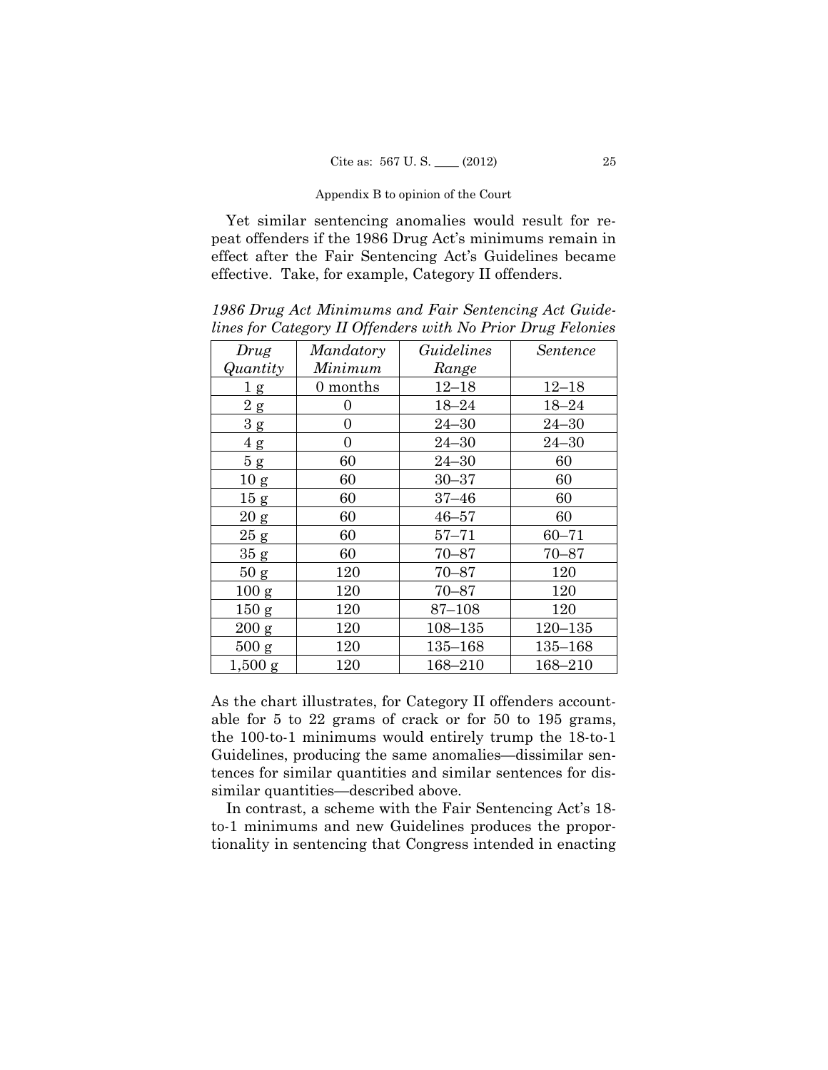Yet similar sentencing anomalies would result for repeat offenders if the 1986 Drug Act's minimums remain in effect after the Fair Sentencing Act's Guidelines became effective. Take, for example, Category II offenders.

*Drug Quantity Mandatory Minimum Guidelines Range Sentence*  1 g 0 months 12–18 12–18  $2 g | 0 | 18-24 | 18-24$  $3 \text{ g}$  0 24–30 24–30 4 g 0 24–30 24–30 5 g | 60 | 24–30 | 60  $10 \text{ g}$  60  $30-37$  60 15 g 60  $\overline{37-46}$  60  $20 g$  60  $46-57$  60  $25 g$  60 57–71 60–71 35 g 60 70–87 70–87 50 g 120 70–87 120  $100 \text{ g}$  120  $70-87$  120 150 g 120 87-108 120 200 g  $120$  108–135 120–135 500 g  $120$   $135-168$   $135-168$ 1,500 g 120 168–210 168–210

*1986 Drug Act Minimums and Fair Sentencing Act Guidelines for Category II Offenders with No Prior Drug Felonies* 

As the chart illustrates, for Category II offenders accountable for 5 to 22 grams of crack or for 50 to 195 grams, the 100-to-1 minimums would entirely trump the 18-to-1 Guidelines, producing the same anomalies—dissimilar sentences for similar quantities and similar sentences for dissimilar quantities—described above.

In contrast, a scheme with the Fair Sentencing Act's 18 to-1 minimums and new Guidelines produces the proportionality in sentencing that Congress intended in enacting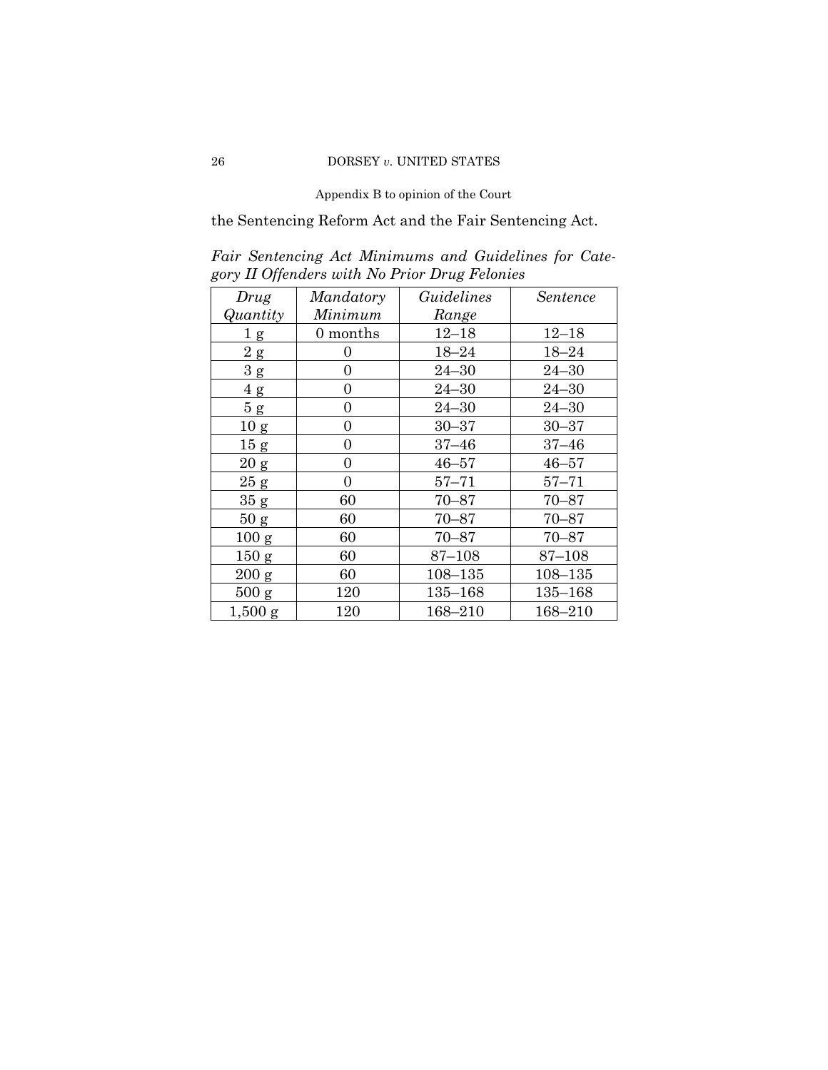the Sentencing Reform Act and the Fair Sentencing Act.

*Fair Sentencing Act Minimums and Guidelines for Category II Offenders with No Prior Drug Felonies* 

| Drug            | Mandatory | Guidelines  | Sentence    |
|-----------------|-----------|-------------|-------------|
| Quantity        | Minimum   | Range       |             |
| 1 <sub>g</sub>  | 0 months  | $12 - 18$   | $12 - 18$   |
| 2g              | 0         | $18 - 24$   | $18 - 24$   |
| 3g              | 0         | $24 - 30$   | $24 - 30$   |
| $4\ {\rm g}$    | 0         | $24 - 30$   | $24 - 30$   |
| 5g              | 0         | $24 - 30$   | $24 - 30$   |
| 10 <sub>g</sub> | 0         | $30 - 37$   | $30 - 37$   |
| 15 <sub>g</sub> | 0         | $37 - 46$   | $37 - 46$   |
| $20\ {\rm g}$   | 0         | $46 - 57$   | $46 - 57$   |
| 25 g            | 0         | $57 - 71$   | $57 - 71$   |
| 35 g            | 60        | $70 - 87$   | $70 - 87$   |
| 50 g            | 60        | $70 - 87$   | $70 - 87$   |
| 100 g           | 60        | $70 - 87$   | $70 - 87$   |
| 150 g           | 60        | 87–108      | 87–108      |
| 200 g           | 60        | $108 - 135$ | $108 - 135$ |
| 500 g           | 120       | $135 - 168$ | $135 - 168$ |
| $1,500$ g       | 120       | 168-210     | 168-210     |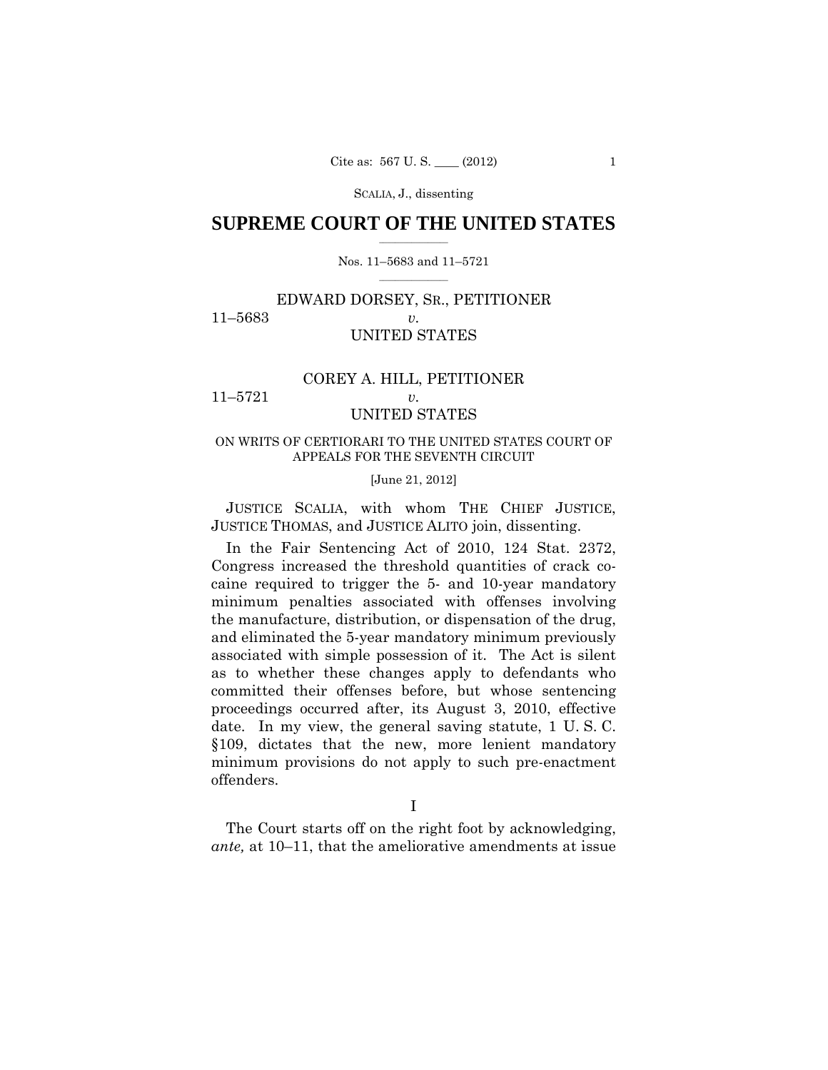## $\frac{1}{2}$  , where  $\frac{1}{2}$ **SUPREME COURT OF THE UNITED STATES**

#### $\frac{1}{2}$  ,  $\frac{1}{2}$  ,  $\frac{1}{2}$  ,  $\frac{1}{2}$  ,  $\frac{1}{2}$  ,  $\frac{1}{2}$ Nos. 11–5683 and 11–5721

## EDWARD DORSEY, SR., PETITIONER 11–5683 *v.*  UNITED STATES

## COREY A. HILL, PETITIONER 11–5721 *v.*

# UNITED STATES

## ON WRITS OF CERTIORARI TO THE UNITED STATES COURT OF APPEALS FOR THE SEVENTH CIRCUIT

#### [June 21, 2012]

JUSTICE SCALIA, with whom THE CHIEF JUSTICE, JUSTICE THOMAS, and JUSTICE ALITO join, dissenting.

In the Fair Sentencing Act of 2010, 124 Stat. 2372, Congress increased the threshold quantities of crack cocaine required to trigger the 5- and 10-year mandatory minimum penalties associated with offenses involving the manufacture, distribution, or dispensation of the drug, and eliminated the 5-year mandatory minimum previously associated with simple possession of it. The Act is silent as to whether these changes apply to defendants who committed their offenses before, but whose sentencing proceedings occurred after, its August 3, 2010, effective date. In my view, the general saving statute, 1 U. S. C. §109, dictates that the new, more lenient mandatory minimum provisions do not apply to such pre-enactment offenders.

The Court starts off on the right foot by acknowledging, *ante,* at 10–11, that the ameliorative amendments at issue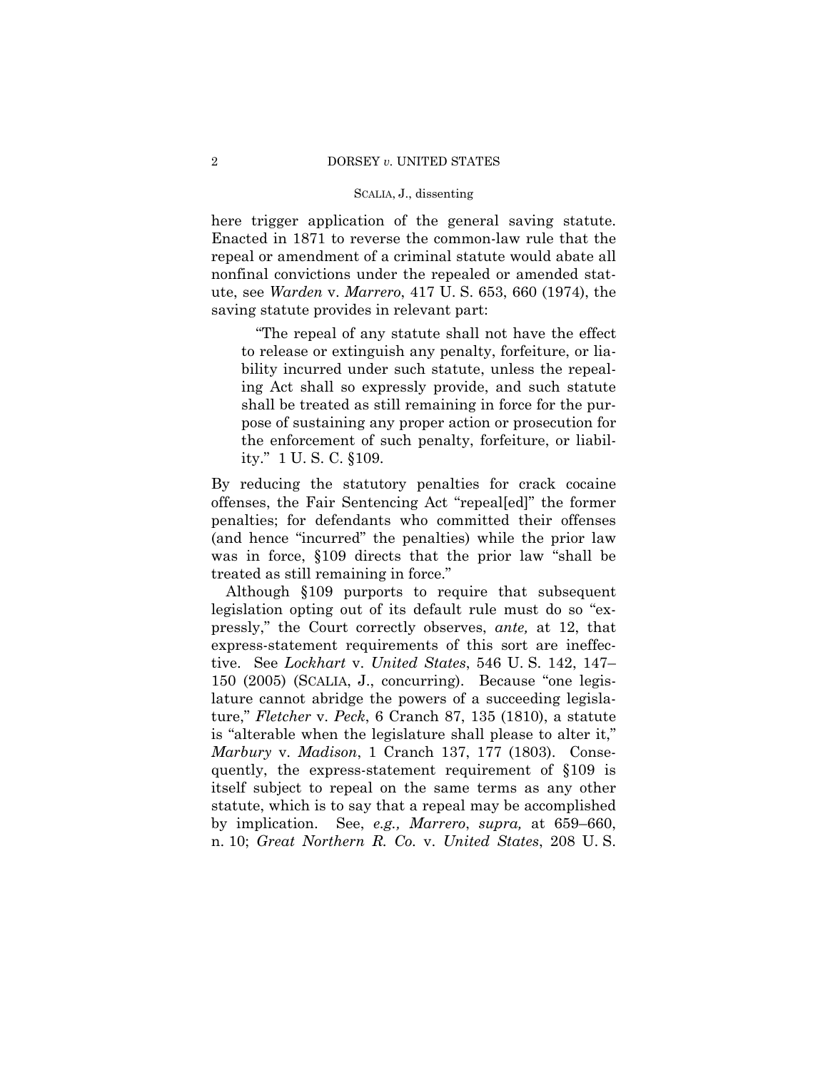here trigger application of the general saving statute. Enacted in 1871 to reverse the common-law rule that the repeal or amendment of a criminal statute would abate all nonfinal convictions under the repealed or amended statute, see *Warden* v. *Marrero*, 417 U. S. 653, 660 (1974), the saving statute provides in relevant part:

"The repeal of any statute shall not have the effect to release or extinguish any penalty, forfeiture, or liability incurred under such statute, unless the repealing Act shall so expressly provide, and such statute shall be treated as still remaining in force for the purpose of sustaining any proper action or prosecution for the enforcement of such penalty, forfeiture, or liability." 1 U. S. C. §109.

By reducing the statutory penalties for crack cocaine offenses, the Fair Sentencing Act "repeal[ed]" the former penalties; for defendants who committed their offenses (and hence "incurred" the penalties) while the prior law was in force, §109 directs that the prior law "shall be treated as still remaining in force."

Although §109 purports to require that subsequent legislation opting out of its default rule must do so "expressly," the Court correctly observes, *ante,* at 12, that express-statement requirements of this sort are ineffective. See *Lockhart* v. *United States*, 546 U. S. 142, 147– 150 (2005) (SCALIA, J., concurring). Because "one legislature cannot abridge the powers of a succeeding legislature," *Fletcher* v. *Peck*, 6 Cranch 87, 135 (1810), a statute is "alterable when the legislature shall please to alter it," *Marbury* v. *Madison*, 1 Cranch 137, 177 (1803). Consequently, the express-statement requirement of §109 is itself subject to repeal on the same terms as any other statute, which is to say that a repeal may be accomplished by implication. See, *e.g., Marrero*, *supra,* at 659–660, n. 10; *Great Northern R. Co.* v. *United States*, 208 U. S.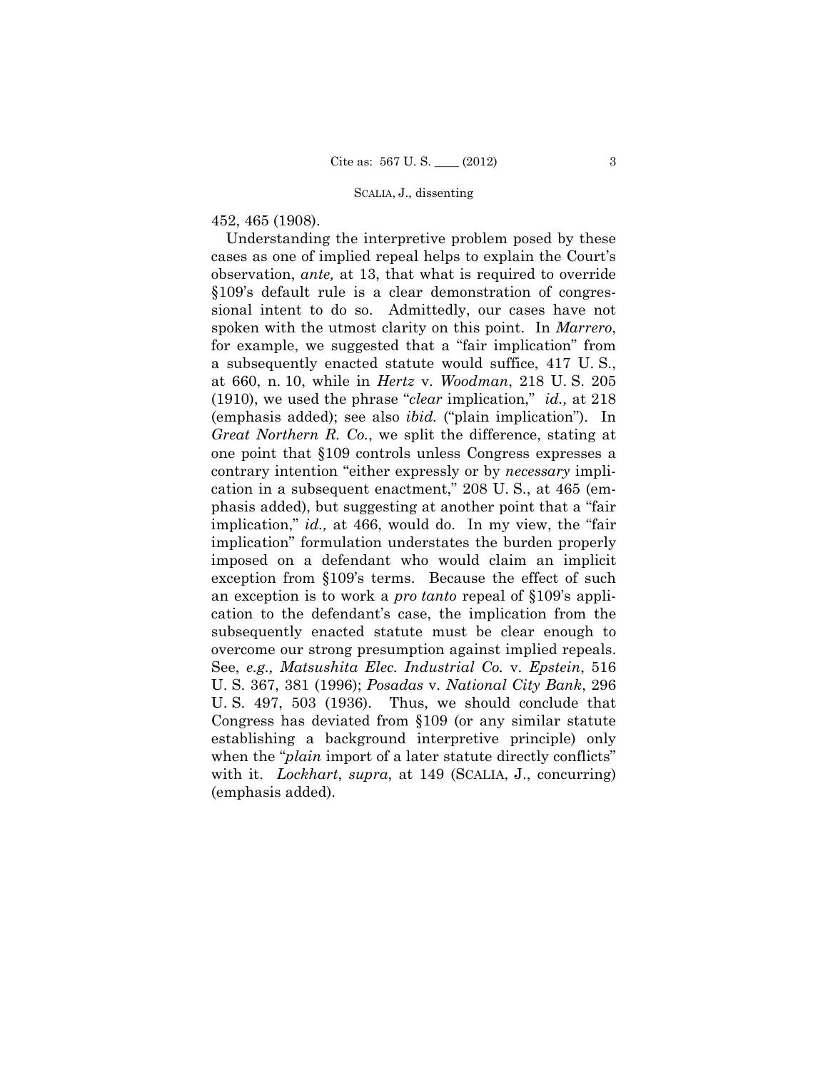452, 465 (1908).

 for example, we suggested that a "fair implication" from exception from §109's terms. Because the effect of such an exception is to work a *pro tanto* repeal of §109's appli- overcome our strong presumption against implied repeals. Understanding the interpretive problem posed by these cases as one of implied repeal helps to explain the Court's observation, *ante,* at 13, that what is required to override §109's default rule is a clear demonstration of congressional intent to do so. Admittedly, our cases have not spoken with the utmost clarity on this point. In *Marrero*, a subsequently enacted statute would suffice, 417 U. S., at 660, n. 10, while in *Hertz* v. *Woodman*, 218 U. S. 205 (1910), we used the phrase "*clear* implication," *id.,* at 218 (emphasis added); see also *ibid.* ("plain implication"). In *Great Northern R. Co.*, we split the difference, stating at one point that §109 controls unless Congress expresses a contrary intention "either expressly or by *necessary* implication in a subsequent enactment," 208 U. S., at 465 (emphasis added), but suggesting at another point that a "fair implication," *id.,* at 466, would do. In my view, the "fair implication" formulation understates the burden properly imposed on a defendant who would claim an implicit cation to the defendant's case, the implication from the subsequently enacted statute must be clear enough to See, *e.g., Matsushita Elec. Industrial Co.* v. *Epstein*, 516 U. S. 367, 381 (1996); *Posadas* v. *National City Bank*, 296 U. S. 497, 503 (1936). Thus, we should conclude that Congress has deviated from §109 (or any similar statute establishing a background interpretive principle) only when the "*plain* import of a later statute directly conflicts" with it. *Lockhart*, *supra*, at 149 (SCALIA, J., concurring) (emphasis added).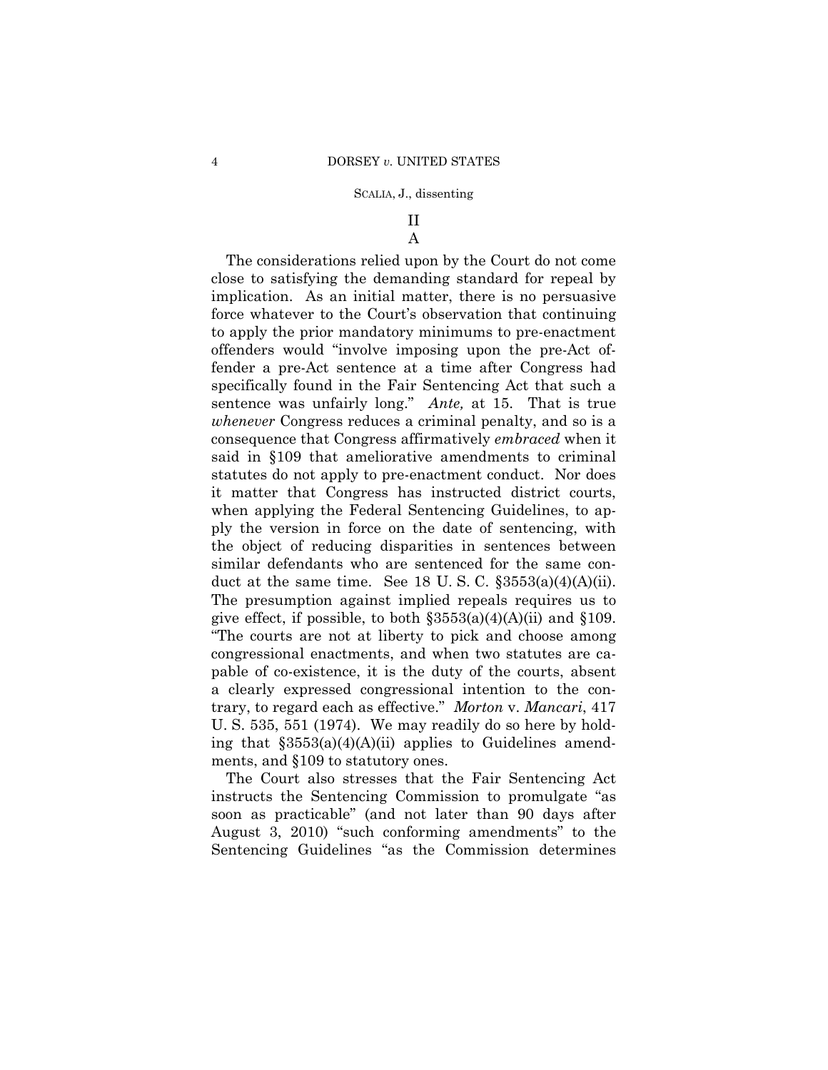## II A

The considerations relied upon by the Court do not come close to satisfying the demanding standard for repeal by implication. As an initial matter, there is no persuasive force whatever to the Court's observation that continuing to apply the prior mandatory minimums to pre-enactment offenders would "involve imposing upon the pre-Act offender a pre-Act sentence at a time after Congress had specifically found in the Fair Sentencing Act that such a sentence was unfairly long." *Ante,* at 15. That is true *whenever* Congress reduces a criminal penalty, and so is a consequence that Congress affirmatively *embraced* when it said in §109 that ameliorative amendments to criminal statutes do not apply to pre-enactment conduct. Nor does it matter that Congress has instructed district courts, when applying the Federal Sentencing Guidelines, to apply the version in force on the date of sentencing, with the object of reducing disparities in sentences between similar defendants who are sentenced for the same conduct at the same time. See 18 U.S.C.  $\S 3553(a)(4)(A)(ii)$ . The presumption against implied repeals requires us to give effect, if possible, to both  $\S 3553(a)(4)(A)(ii)$  and  $\S 109$ . "The courts are not at liberty to pick and choose among congressional enactments, and when two statutes are capable of co-existence, it is the duty of the courts, absent a clearly expressed congressional intention to the contrary, to regard each as effective." *Morton* v. *Mancari*, 417 U. S. 535, 551 (1974). We may readily do so here by holding that  $\S 3553(a)(4)(A)(ii)$  applies to Guidelines amendments, and §109 to statutory ones.

The Court also stresses that the Fair Sentencing Act instructs the Sentencing Commission to promulgate "as soon as practicable" (and not later than 90 days after August 3, 2010) "such conforming amendments" to the Sentencing Guidelines "as the Commission determines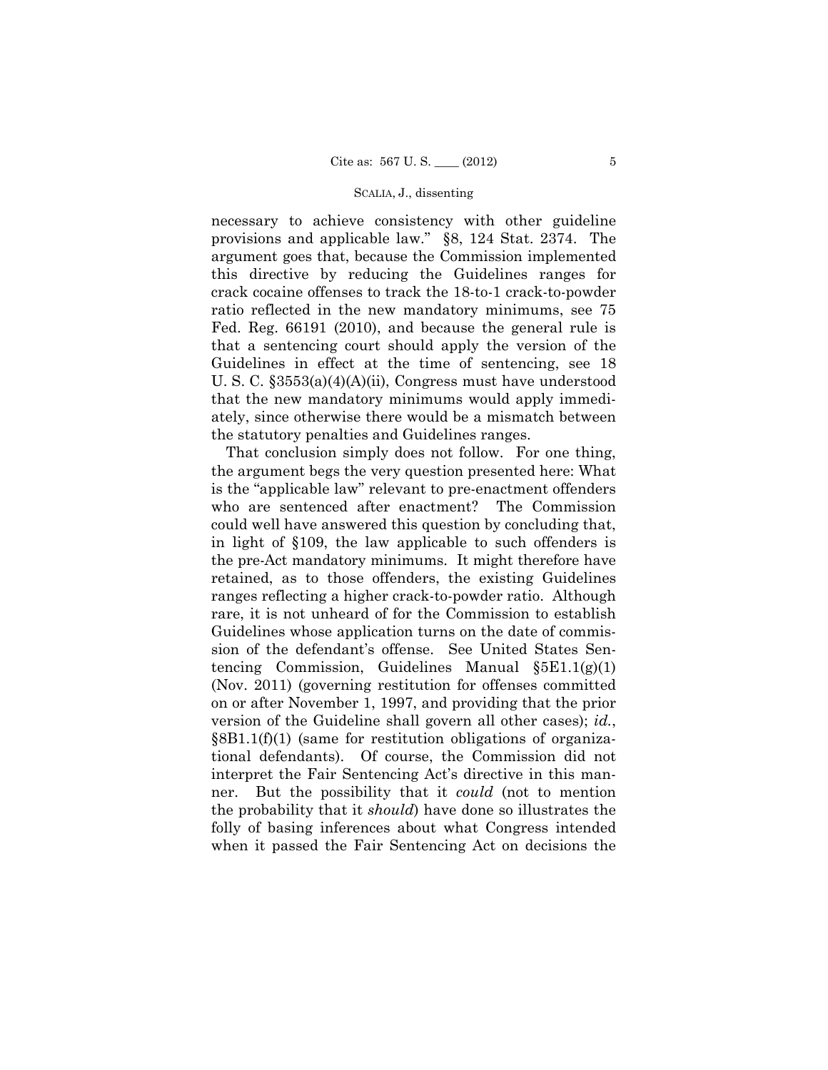necessary to achieve consistency with other guideline provisions and applicable law." §8, 124 Stat. 2374. The argument goes that, because the Commission implemented this directive by reducing the Guidelines ranges for crack cocaine offenses to track the 18-to-1 crack-to-powder ratio reflected in the new mandatory minimums, see 75 Fed. Reg. 66191 (2010), and because the general rule is that a sentencing court should apply the version of the Guidelines in effect at the time of sentencing, see 18 U. S. C. §3553(a)(4)(A)(ii), Congress must have understood that the new mandatory minimums would apply immediately, since otherwise there would be a mismatch between the statutory penalties and Guidelines ranges.

That conclusion simply does not follow. For one thing, the argument begs the very question presented here: What is the "applicable law" relevant to pre-enactment offenders who are sentenced after enactment? The Commission could well have answered this question by concluding that, in light of §109, the law applicable to such offenders is the pre-Act mandatory minimums. It might therefore have retained, as to those offenders, the existing Guidelines ranges reflecting a higher crack-to-powder ratio. Although rare, it is not unheard of for the Commission to establish Guidelines whose application turns on the date of commission of the defendant's offense. See United States Sentencing Commission, Guidelines Manual  $\S 5E1.1(g)(1)$ (Nov. 2011) (governing restitution for offenses committed on or after November 1, 1997, and providing that the prior version of the Guideline shall govern all other cases); *id.*, §8B1.1(f)(1) (same for restitution obligations of organizational defendants). Of course, the Commission did not interpret the Fair Sentencing Act's directive in this manner. But the possibility that it *could* (not to mention the probability that it *should*) have done so illustrates the folly of basing inferences about what Congress intended when it passed the Fair Sentencing Act on decisions the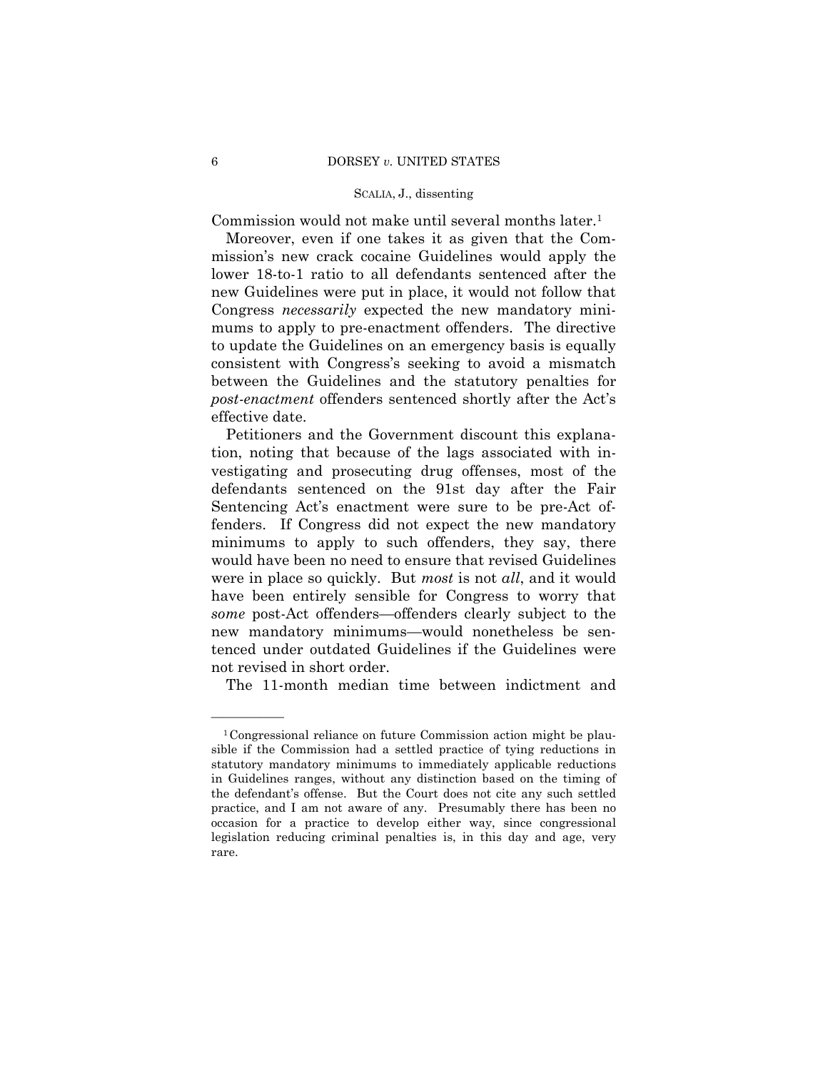Commission would not make until several months later.1

Moreover, even if one takes it as given that the Commission's new crack cocaine Guidelines would apply the lower 18-to-1 ratio to all defendants sentenced after the new Guidelines were put in place, it would not follow that Congress *necessarily* expected the new mandatory minimums to apply to pre-enactment offenders. The directive to update the Guidelines on an emergency basis is equally consistent with Congress's seeking to avoid a mismatch between the Guidelines and the statutory penalties for *post-enactment* offenders sentenced shortly after the Act's effective date.

 defendants sentenced on the 91st day after the Fair Petitioners and the Government discount this explanation, noting that because of the lags associated with investigating and prosecuting drug offenses, most of the Sentencing Act's enactment were sure to be pre-Act offenders. If Congress did not expect the new mandatory minimums to apply to such offenders, they say, there would have been no need to ensure that revised Guidelines were in place so quickly. But *most* is not *all*, and it would have been entirely sensible for Congress to worry that *some* post-Act offenders—offenders clearly subject to the new mandatory minimums—would nonetheless be sentenced under outdated Guidelines if the Guidelines were not revised in short order.

The 11-month median time between indictment and

——————

<sup>1</sup>Congressional reliance on future Commission action might be plausible if the Commission had a settled practice of tying reductions in statutory mandatory minimums to immediately applicable reductions in Guidelines ranges, without any distinction based on the timing of the defendant's offense. But the Court does not cite any such settled practice, and I am not aware of any. Presumably there has been no occasion for a practice to develop either way, since congressional legislation reducing criminal penalties is, in this day and age, very rare.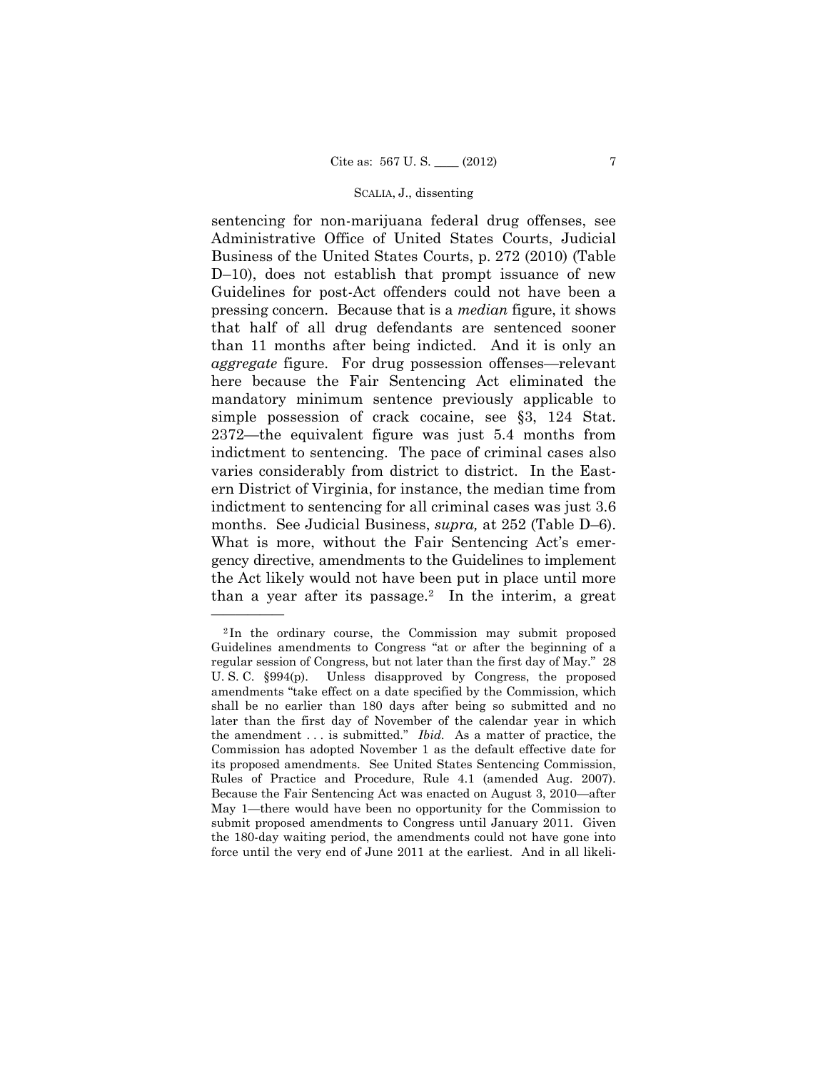sentencing for non-marijuana federal drug offenses, see Administrative Office of United States Courts, Judicial Business of the United States Courts, p. 272 (2010) (Table D–10), does not establish that prompt issuance of new Guidelines for post-Act offenders could not have been a pressing concern. Because that is a *median* figure, it shows that half of all drug defendants are sentenced sooner than 11 months after being indicted. And it is only an *aggregate* figure. For drug possession offenses—relevant here because the Fair Sentencing Act eliminated the mandatory minimum sentence previously applicable to simple possession of crack cocaine, see §3, 124 Stat. 2372—the equivalent figure was just 5.4 months from indictment to sentencing. The pace of criminal cases also varies considerably from district to district. In the Eastern District of Virginia, for instance, the median time from indictment to sentencing for all criminal cases was just 3.6 months. See Judicial Business, *supra,* at 252 (Table D–6). What is more, without the Fair Sentencing Act's emergency directive, amendments to the Guidelines to implement the Act likely would not have been put in place until more than a year after its passage.<sup>2</sup> In the interim, a great

——————

 Rules of Practice and Procedure, Rule 4.1 (amended Aug. 2007). <sup>2</sup> In the ordinary course, the Commission may submit proposed Guidelines amendments to Congress "at or after the beginning of a regular session of Congress, but not later than the first day of May." 28 U. S. C. §994(p). Unless disapproved by Congress, the proposed amendments "take effect on a date specified by the Commission, which shall be no earlier than 180 days after being so submitted and no later than the first day of November of the calendar year in which the amendment . . . is submitted." *Ibid.* As a matter of practice, the Commission has adopted November 1 as the default effective date for its proposed amendments. See United States Sentencing Commission, Because the Fair Sentencing Act was enacted on August 3, 2010—after May 1—there would have been no opportunity for the Commission to submit proposed amendments to Congress until January 2011. Given the 180-day waiting period, the amendments could not have gone into force until the very end of June 2011 at the earliest. And in all likeli-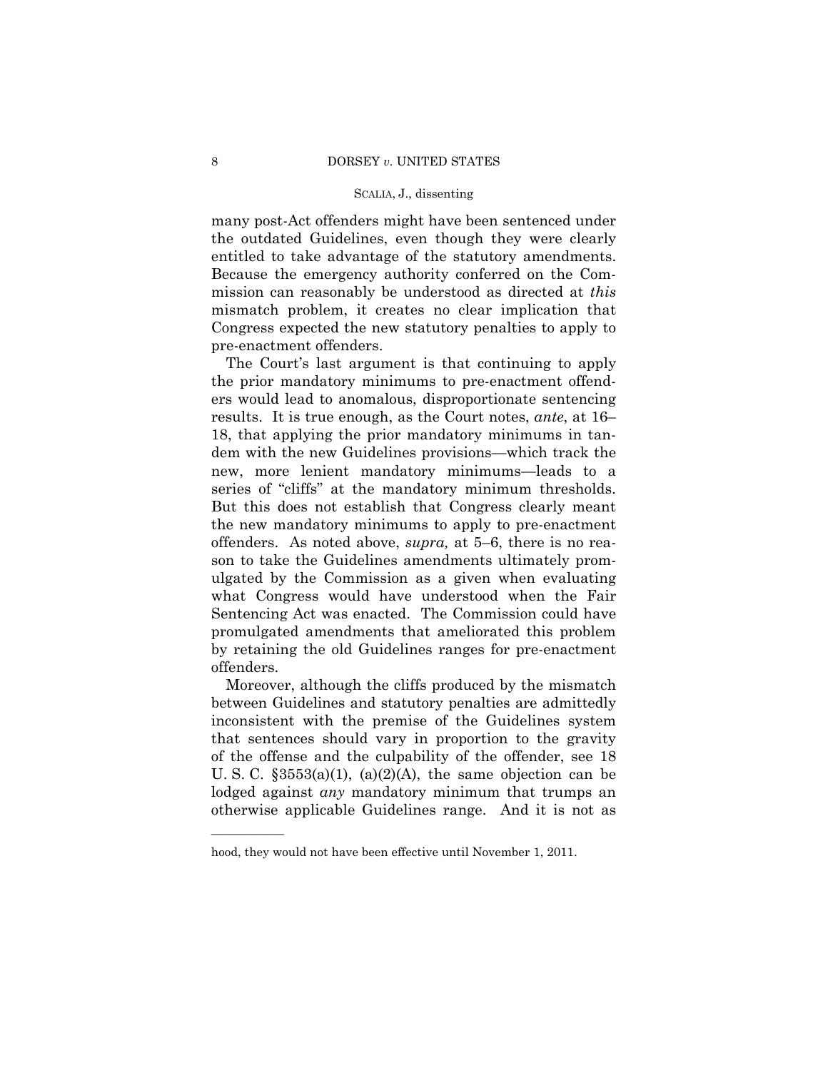many post-Act offenders might have been sentenced under the outdated Guidelines, even though they were clearly entitled to take advantage of the statutory amendments. Because the emergency authority conferred on the Commission can reasonably be understood as directed at *this*  mismatch problem, it creates no clear implication that Congress expected the new statutory penalties to apply to pre-enactment offenders.

 series of "cliffs" at the mandatory minimum thresholds. The Court's last argument is that continuing to apply the prior mandatory minimums to pre-enactment offenders would lead to anomalous, disproportionate sentencing results. It is true enough, as the Court notes, *ante*, at 16– 18, that applying the prior mandatory minimums in tandem with the new Guidelines provisions—which track the new, more lenient mandatory minimums—leads to a But this does not establish that Congress clearly meant the new mandatory minimums to apply to pre-enactment offenders. As noted above, *supra,* at 5–6, there is no reason to take the Guidelines amendments ultimately promulgated by the Commission as a given when evaluating what Congress would have understood when the Fair Sentencing Act was enacted. The Commission could have promulgated amendments that ameliorated this problem by retaining the old Guidelines ranges for pre-enactment offenders.

 between Guidelines and statutory penalties are admittedly Moreover, although the cliffs produced by the mismatch inconsistent with the premise of the Guidelines system that sentences should vary in proportion to the gravity of the offense and the culpability of the offender, see 18 U. S. C.  $\S 3553(a)(1)$ ,  $(a)(2)(A)$ , the same objection can be lodged against *any* mandatory minimum that trumps an otherwise applicable Guidelines range. And it is not as

——————

hood, they would not have been effective until November 1, 2011.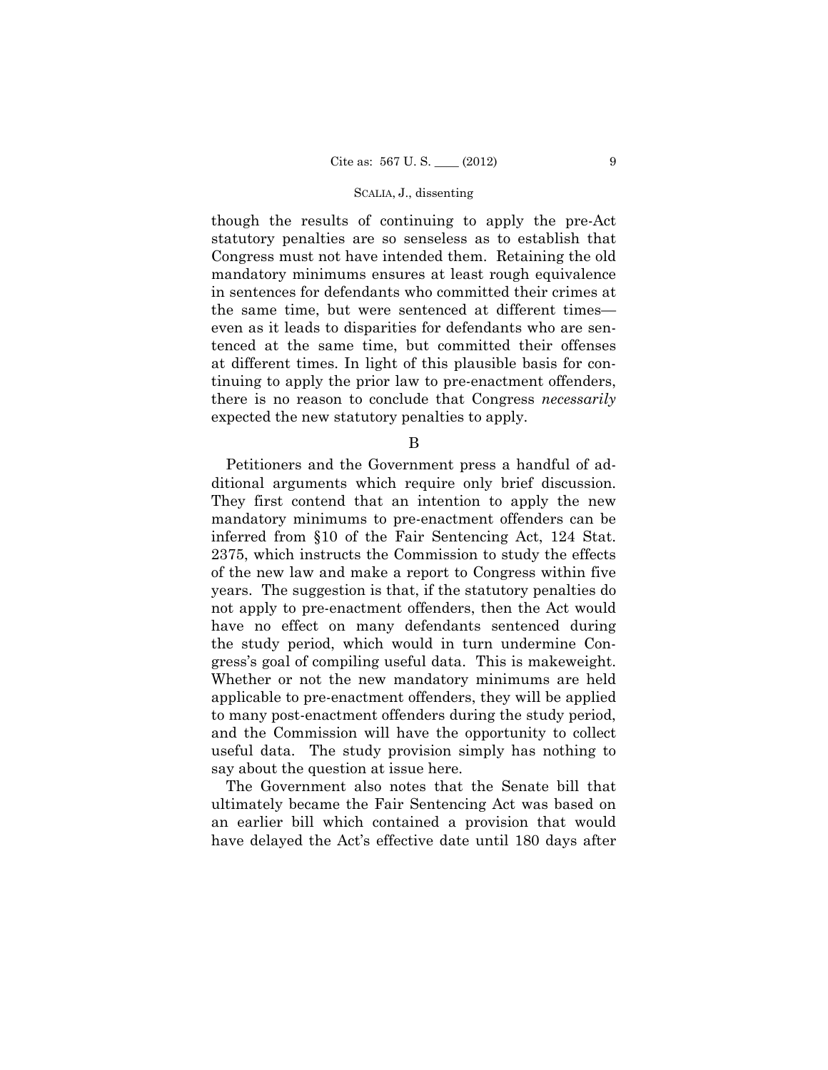though the results of continuing to apply the pre-Act statutory penalties are so senseless as to establish that Congress must not have intended them. Retaining the old mandatory minimums ensures at least rough equivalence in sentences for defendants who committed their crimes at the same time, but were sentenced at different times even as it leads to disparities for defendants who are sentenced at the same time, but committed their offenses at different times. In light of this plausible basis for continuing to apply the prior law to pre-enactment offenders, there is no reason to conclude that Congress *necessarily*  expected the new statutory penalties to apply.

B

Petitioners and the Government press a handful of additional arguments which require only brief discussion. They first contend that an intention to apply the new mandatory minimums to pre-enactment offenders can be inferred from §10 of the Fair Sentencing Act, 124 Stat. 2375, which instructs the Commission to study the effects of the new law and make a report to Congress within five years. The suggestion is that, if the statutory penalties do not apply to pre-enactment offenders, then the Act would have no effect on many defendants sentenced during the study period, which would in turn undermine Congress's goal of compiling useful data. This is makeweight. Whether or not the new mandatory minimums are held applicable to pre-enactment offenders, they will be applied to many post-enactment offenders during the study period, and the Commission will have the opportunity to collect useful data. The study provision simply has nothing to say about the question at issue here.

The Government also notes that the Senate bill that ultimately became the Fair Sentencing Act was based on an earlier bill which contained a provision that would have delayed the Act's effective date until 180 days after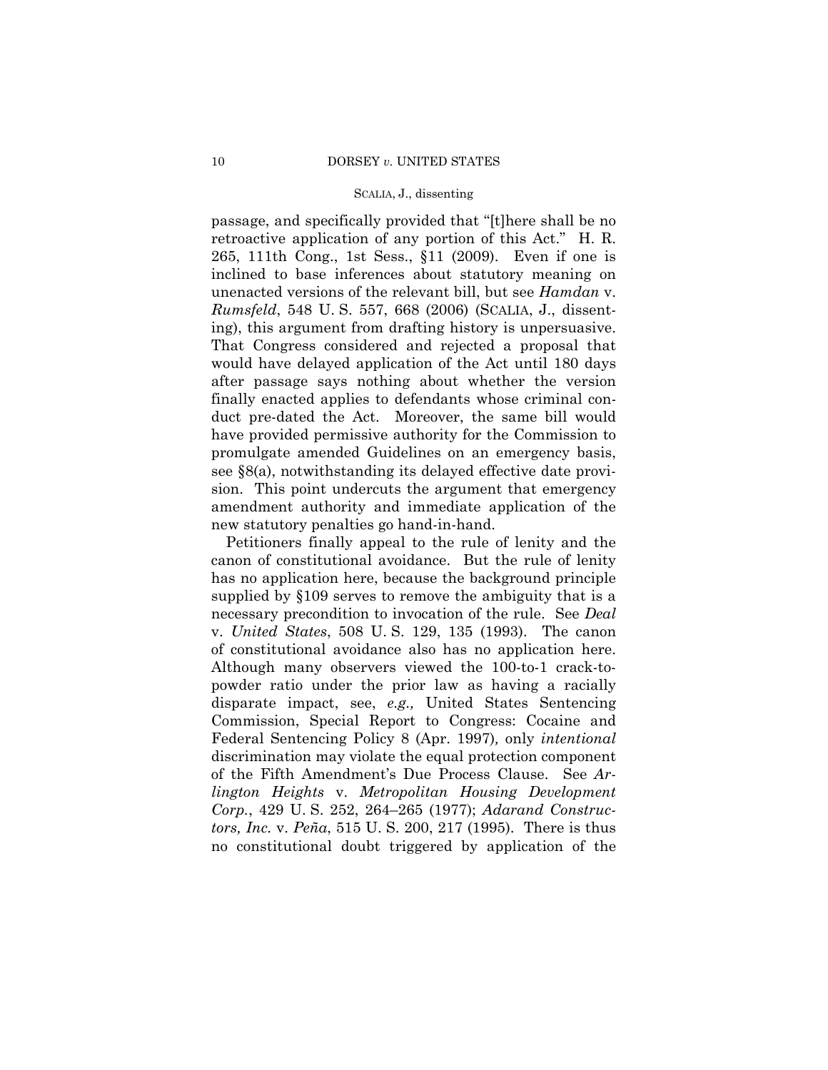passage, and specifically provided that "[t]here shall be no retroactive application of any portion of this Act." H. R. 265, 111th Cong., 1st Sess., §11 (2009). Even if one is inclined to base inferences about statutory meaning on unenacted versions of the relevant bill, but see *Hamdan* v. *Rumsfeld*, 548 U. S. 557, 668 (2006) (SCALIA, J., dissenting), this argument from drafting history is unpersuasive. That Congress considered and rejected a proposal that would have delayed application of the Act until 180 days after passage says nothing about whether the version finally enacted applies to defendants whose criminal conduct pre-dated the Act. Moreover, the same bill would have provided permissive authority for the Commission to promulgate amended Guidelines on an emergency basis, see §8(a), notwithstanding its delayed effective date provision. This point undercuts the argument that emergency amendment authority and immediate application of the new statutory penalties go hand-in-hand.

Petitioners finally appeal to the rule of lenity and the canon of constitutional avoidance. But the rule of lenity has no application here, because the background principle supplied by §109 serves to remove the ambiguity that is a necessary precondition to invocation of the rule. See *Deal*  v. *United States*, 508 U. S. 129, 135 (1993). The canon of constitutional avoidance also has no application here. Although many observers viewed the 100-to-1 crack-topowder ratio under the prior law as having a racially disparate impact, see, *e.g.,* United States Sentencing Commission, Special Report to Congress: Cocaine and Federal Sentencing Policy 8 (Apr. 1997)*,* only *intentional*  discrimination may violate the equal protection component of the Fifth Amendment's Due Process Clause. See *Arlington Heights* v. *Metropolitan Housing Development Corp.*, 429 U. S. 252, 264–265 (1977); *Adarand Constructors, Inc.* v. *Peña*, 515 U. S. 200, 217 (1995). There is thus no constitutional doubt triggered by application of the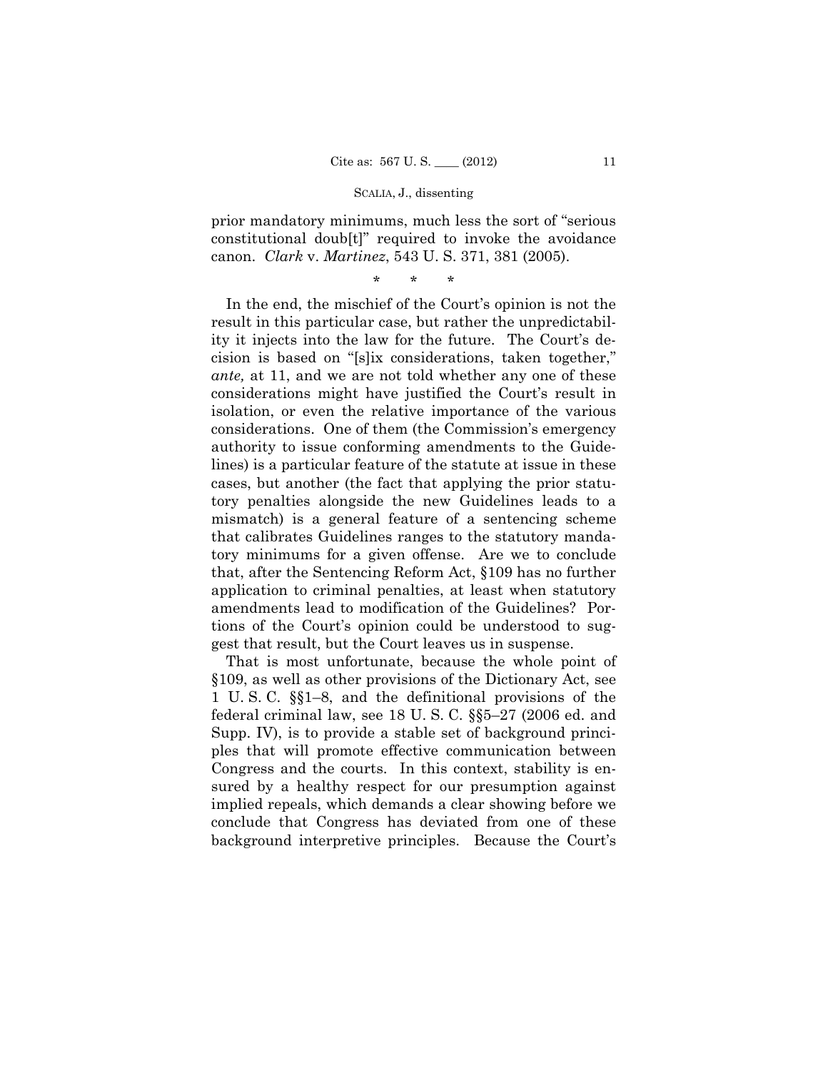prior mandatory minimums, much less the sort of "serious constitutional doub[t]" required to invoke the avoidance canon. *Clark* v. *Martinez*, 543 U. S. 371, 381 (2005).

\* \* \*

In the end, the mischief of the Court's opinion is not the result in this particular case, but rather the unpredictability it injects into the law for the future. The Court's decision is based on "[s]ix considerations, taken together," *ante,* at 11, and we are not told whether any one of these considerations might have justified the Court's result in isolation, or even the relative importance of the various considerations. One of them (the Commission's emergency authority to issue conforming amendments to the Guidelines) is a particular feature of the statute at issue in these cases, but another (the fact that applying the prior statutory penalties alongside the new Guidelines leads to a mismatch) is a general feature of a sentencing scheme that calibrates Guidelines ranges to the statutory mandatory minimums for a given offense. Are we to conclude that, after the Sentencing Reform Act, §109 has no further application to criminal penalties, at least when statutory amendments lead to modification of the Guidelines? Portions of the Court's opinion could be understood to suggest that result, but the Court leaves us in suspense.

That is most unfortunate, because the whole point of §109, as well as other provisions of the Dictionary Act, see 1 U. S. C. §§1–8, and the definitional provisions of the federal criminal law, see 18 U. S. C. §§5–27 (2006 ed. and Supp. IV), is to provide a stable set of background principles that will promote effective communication between Congress and the courts. In this context, stability is ensured by a healthy respect for our presumption against implied repeals, which demands a clear showing before we conclude that Congress has deviated from one of these background interpretive principles. Because the Court's